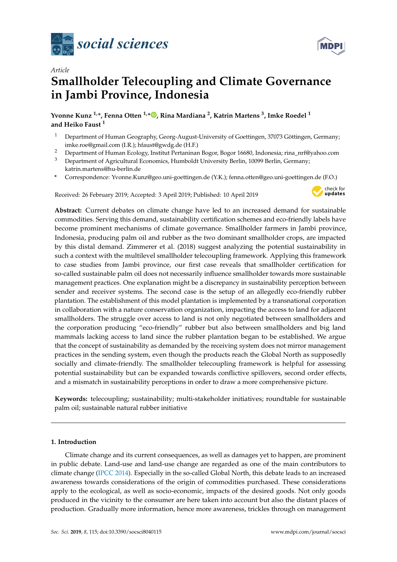

*Article*



# **Smallholder Telecoupling and Climate Governance in Jambi Province, Indonesia**

**Yvonne Kunz 1,\*, Fenna Otten 1,[\\*](https://orcid.org/0000-0002-4454-1453) , Rina Mardiana <sup>2</sup> , Katrin Martens <sup>3</sup> , Imke Roedel <sup>1</sup> and Heiko Faust <sup>1</sup>**

- <sup>1</sup> Department of Human Geography, Georg-August-University of Goettingen, 37073 Göttingen, Germany; imke.roe@gmail.com (I.R.); hfaust@gwdg.de (H.F.)
- <sup>2</sup> Department of Human Ecology, Institut Pertaninan Bogor, Bogor 16680, Indonesia; rina\_nrf@yahoo.com
- <sup>3</sup> Department of Agricultural Economics, Humboldt University Berlin, 10099 Berlin, Germany; katrin.martens@hu-berlin.de
- **\*** Correspondence: Yvonne.Kunz@geo.uni-goettingen.de (Y.K.); fenna.otten@geo.uni-goettingen.de (F.O.)

Received: 26 February 2019; Accepted: 3 April 2019; Published: 10 April 2019



**Abstract:** Current debates on climate change have led to an increased demand for sustainable commodities. Serving this demand, sustainability certification schemes and eco-friendly labels have become prominent mechanisms of climate governance. Smallholder farmers in Jambi province, Indonesia, producing palm oil and rubber as the two dominant smallholder crops, are impacted by this distal demand. Zimmerer et al. (2018) suggest analyzing the potential sustainability in such a context with the multilevel smallholder telecoupling framework. Applying this framework to case studies from Jambi province, our first case reveals that smallholder certification for so-called sustainable palm oil does not necessarily influence smallholder towards more sustainable management practices. One explanation might be a discrepancy in sustainability perception between sender and receiver systems. The second case is the setup of an allegedly eco-friendly rubber plantation. The establishment of this model plantation is implemented by a transnational corporation in collaboration with a nature conservation organization, impacting the access to land for adjacent smallholders. The struggle over access to land is not only negotiated between smallholders and the corporation producing "eco-friendly" rubber but also between smallholders and big land mammals lacking access to land since the rubber plantation began to be established. We argue that the concept of sustainability as demanded by the receiving system does not mirror management practices in the sending system, even though the products reach the Global North as supposedly socially and climate-friendly. The smallholder telecoupling framework is helpful for assessing potential sustainability but can be expanded towards conflictive spillovers, second order effects, and a mismatch in sustainability perceptions in order to draw a more comprehensive picture.

**Keywords:** telecoupling; sustainability; multi-stakeholder initiatives; roundtable for sustainable palm oil; sustainable natural rubber initiative

### **1. Introduction**

Climate change and its current consequences, as well as damages yet to happen, are prominent in public debate. Land-use and land-use change are regarded as one of the main contributors to climate change [\(IPCC](#page-25-0) [2014\)](#page-25-0). Especially in the so-called Global North, this debate leads to an increased awareness towards considerations of the origin of commodities purchased. These considerations apply to the ecological, as well as socio-economic, impacts of the desired goods. Not only goods produced in the vicinity to the consumer are here taken into account but also the distant places of production. Gradually more information, hence more awareness, trickles through on management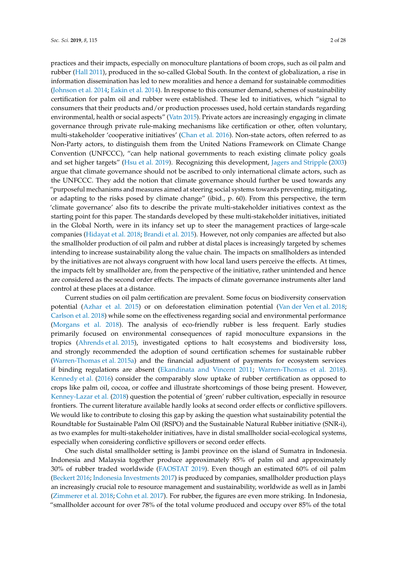practices and their impacts, especially on monoculture plantations of boom crops, such as oil palm and rubber [\(Hall](#page-25-1) [2011\)](#page-25-1), produced in the so-called Global South. In the context of globalization, a rise in information dissemination has led to new moralities and hence a demand for sustainable commodities [\(Johnson et al.](#page-25-2) [2014;](#page-25-2) [Eakin et al.](#page-24-0) [2014\)](#page-24-0). In response to this consumer demand, schemes of sustainability certification for palm oil and rubber were established. These led to initiatives, which "signal to consumers that their products and/or production processes used, hold certain standards regarding environmental, health or social aspects" [\(Vatn](#page-26-0) [2015\)](#page-26-0). Private actors are increasingly engaging in climate governance through private rule-making mechanisms like certification or other, often voluntary, multi-stakeholder 'cooperative initiatives' [\(Chan et al.](#page-24-1) [2016\)](#page-24-1). Non-state actors, often referred to as Non-Party actors, to distinguish them from the United Nations Framework on Climate Change Convention (UNFCCC), "can help national governments to reach existing climate policy goals and set higher targets" [\(Hsu et al.](#page-25-3) [2019\)](#page-25-3). Recognizing this development, [Jagers and Stripple](#page-25-4) [\(2003\)](#page-25-4) argue that climate governance should not be ascribed to only international climate actors, such as the UNFCCC. They add the notion that climate governance should further be used towards any "purposeful mechanisms and measures aimed at steering social systems towards preventing, mitigating, or adapting to the risks posed by climate change" (ibid., p. 60). From this perspective, the term 'climate governance' also fits to describe the private multi-stakeholder initiatives context as the starting point for this paper. The standards developed by these multi-stakeholder initiatives, initiated in the Global North, were in its infancy set up to steer the management practices of large-scale companies [\(Hidayat et al.](#page-25-5) [2018;](#page-25-5) [Brandi et al.](#page-24-2) [2015\)](#page-24-2). However, not only companies are affected but also the smallholder production of oil palm and rubber at distal places is increasingly targeted by schemes intending to increase sustainability along the value chain. The impacts on smallholders as intended by the initiatives are not always congruent with how local land users perceive the effects. At times, the impacts felt by smallholder are, from the perspective of the initiative, rather unintended and hence are considered as the second order effects. The impacts of climate governance instruments alter land control at these places at a distance.

Current studies on oil palm certification are prevalent. Some focus on biodiversity conservation potential [\(Azhar et al.](#page-24-3) [2015\)](#page-24-3) or on deforestation elimination potential [\(Van der Ven et al.](#page-26-1) [2018;](#page-26-1) [Carlson et al.](#page-24-4) [2018\)](#page-24-4) while some on the effectiveness regarding social and environmental performance [\(Morgans et al.](#page-26-2) [2018\)](#page-26-2). The analysis of eco-friendly rubber is less frequent. Early studies primarily focused on environmental consequences of rapid monoculture expansions in the tropics [\(Ahrends et al.](#page-23-0) [2015\)](#page-23-0), investigated options to halt ecosystems and biodiversity loss, and strongly recommended the adoption of sound certification schemes for sustainable rubber [\(Warren-Thomas et al.](#page-26-3) [2015a\)](#page-26-3) and the financial adjustment of payments for ecosystem services if binding regulations are absent [\(Ekandinata and Vincent](#page-24-5) [2011;](#page-24-5) [Warren-Thomas et al.](#page-27-0) [2018\)](#page-27-0). [Kennedy et al.](#page-25-6) [\(2016\)](#page-25-6) consider the comparably slow uptake of rubber certification as opposed to crops like palm oil, cocoa, or coffee and illustrate shortcomings of those being present. However, [Kenney-Lazar et al.](#page-25-7) [\(2018\)](#page-25-7) question the potential of 'green' rubber cultivation, especially in resource frontiers. The current literature available hardly looks at second order effects or conflictive spillovers. We would like to contribute to closing this gap by asking the question what sustainability potential the Roundtable for Sustainable Palm Oil (RSPO) and the Sustainable Natural Rubber initiative (SNR-i), as two examples for multi-stakeholder initiatives, have in distal smallholder social-ecological systems, especially when considering conflictive spillovers or second order effects.

One such distal smallholder setting is Jambi province on the island of Sumatra in Indonesia. Indonesia and Malaysia together produce approximately 85% of palm oil and approximately 30% of rubber traded worldwide [\(FAOSTAT](#page-24-6) [2019\)](#page-24-6). Even though an estimated 60% of oil palm [\(Beckert](#page-24-7) [2016;](#page-24-7) [Indonesia Investments](#page-25-8) [2017\)](#page-25-8) is produced by companies, smallholder production plays an increasingly crucial role to resource management and sustainability, worldwide as well as in Jambi [\(Zimmerer et al.](#page-27-1) [2018;](#page-27-1) [Cohn et al.](#page-24-8) [2017\)](#page-24-8). For rubber, the figures are even more striking. In Indonesia, "smallholder account for over 78% of the total volume produced and occupy over 85% of the total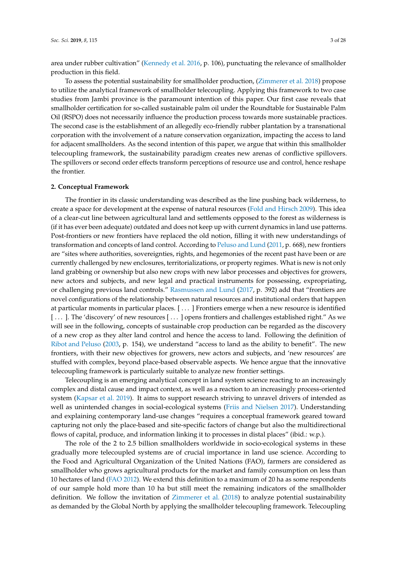area under rubber cultivation" [\(Kennedy et al.](#page-25-6) [2016,](#page-25-6) p. 106), punctuating the relevance of smallholder production in this field.

To assess the potential sustainability for smallholder production, [\(Zimmerer et al.](#page-27-1) [2018\)](#page-27-1) propose to utilize the analytical framework of smallholder telecoupling. Applying this framework to two case studies from Jambi province is the paramount intention of this paper. Our first case reveals that smallholder certification for so-called sustainable palm oil under the Roundtable for Sustainable Palm Oil (RSPO) does not necessarily influence the production process towards more sustainable practices. The second case is the establishment of an allegedly eco-friendly rubber plantation by a transnational corporation with the involvement of a nature conservation organization, impacting the access to land for adjacent smallholders. As the second intention of this paper, we argue that within this smallholder telecoupling framework, the sustainability paradigm creates new arenas of conflictive spillovers. The spillovers or second order effects transform perceptions of resource use and control, hence reshape the frontier.

#### **2. Conceptual Framework**

The frontier in its classic understanding was described as the line pushing back wilderness, to create a space for development at the expense of natural resources [\(Fold and Hirsch](#page-25-9) [2009\)](#page-25-9). This idea of a clear-cut line between agricultural land and settlements opposed to the forest as wilderness is (if it has ever been adequate) outdated and does not keep up with current dynamics in land use patterns. Post-frontiers or new frontiers have replaced the old notion, filling it with new understandings of transformation and concepts of land control. According to [Peluso and Lund](#page-26-4) [\(2011,](#page-26-4) p. 668), new frontiers are "sites where authorities, sovereignties, rights, and hegemonies of the recent past have been or are currently challenged by new enclosures, territorializations, or property regimes. What is new is not only land grabbing or ownership but also new crops with new labor processes and objectives for growers, new actors and subjects, and new legal and practical instruments for possessing, expropriating, or challenging previous land controls." [Rasmussen and Lund](#page-26-5) [\(2017,](#page-26-5) p. 392) add that "frontiers are novel configurations of the relationship between natural resources and institutional orders that happen at particular moments in particular places. [ . . . ] Frontiers emerge when a new resource is identified [ . . . ]. The 'discovery' of new resources [ . . . ] opens frontiers and challenges established right." As we will see in the following, concepts of sustainable crop production can be regarded as the discovery of a new crop as they alter land control and hence the access to land. Following the definition of [Ribot and Peluso](#page-26-6) [\(2003,](#page-26-6) p. 154), we understand "access to land as the ability to benefit". The new frontiers, with their new objectives for growers, new actors and subjects, and 'new resources' are stuffed with complex, beyond place-based observable aspects. We hence argue that the innovative telecoupling framework is particularly suitable to analyze new frontier settings.

Telecoupling is an emerging analytical concept in land system science reacting to an increasingly complex and distal cause and impact context, as well as a reaction to an increasingly process-oriented system [\(Kapsar et al.](#page-25-10) [2019\)](#page-25-10). It aims to support research striving to unravel drivers of intended as well as unintended changes in social-ecological systems [\(Friis and Nielsen](#page-25-11) [2017\)](#page-25-11). Understanding and explaining contemporary land-use changes "requires a conceptual framework geared toward capturing not only the place-based and site-specific factors of change but also the multidirectional flows of capital, produce, and information linking it to processes in distal places" (ibid.: w.p.).

The role of the 2 to 2.5 billion smallholders worldwide in socio-ecological systems in these gradually more telecoupled systems are of crucial importance in land use science. According to the Food and Agricultural Organization of the United Nations (FAO), farmers are considered as smallholder who grows agricultural products for the market and family consumption on less than 10 hectares of land [\(FAO](#page-24-9) [2012\)](#page-24-9). We extend this definition to a maximum of 20 ha as some respondents of our sample hold more than 10 ha but still meet the remaining indicators of the smallholder definition. We follow the invitation of [Zimmerer et al.](#page-27-1) [\(2018\)](#page-27-1) to analyze potential sustainability as demanded by the Global North by applying the smallholder telecoupling framework. Telecoupling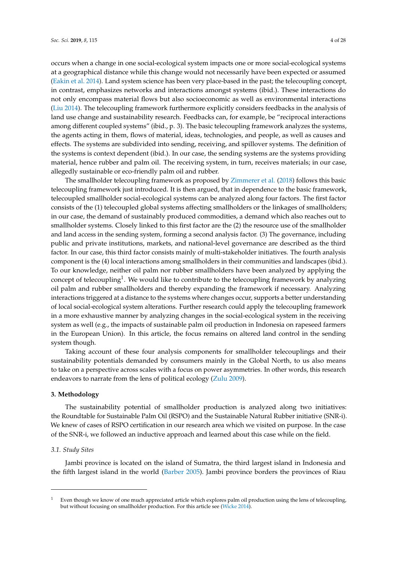occurs when a change in one social-ecological system impacts one or more social-ecological systems at a geographical distance while this change would not necessarily have been expected or assumed [\(Eakin et al.](#page-24-0) [2014\)](#page-24-0). Land system science has been very place-based in the past; the telecoupling concept, in contrast, emphasizes networks and interactions amongst systems (ibid.). These interactions do not only encompass material flows but also socioeconomic as well as environmental interactions [\(Liu](#page-26-7) [2014\)](#page-26-7). The telecoupling framework furthermore explicitly considers feedbacks in the analysis of land use change and sustainability research. Feedbacks can, for example, be "reciprocal interactions among different coupled systems" (ibid., p. 3). The basic telecoupling framework analyzes the systems, the agents acting in them, flows of material, ideas, technologies, and people, as well as causes and effects. The systems are subdivided into sending, receiving, and spillover systems. The definition of the systems is context dependent (ibid.). In our case, the sending systems are the systems providing material, hence rubber and palm oil. The receiving system, in turn, receives materials; in our case, allegedly sustainable or eco-friendly palm oil and rubber.

The smallholder telecoupling framework as proposed by [Zimmerer et al.](#page-27-1) [\(2018\)](#page-27-1) follows this basic telecoupling framework just introduced. It is then argued, that in dependence to the basic framework, telecoupled smallholder social-ecological systems can be analyzed along four factors. The first factor consists of the (1) telecoupled global systems affecting smallholders or the linkages of smallholders; in our case, the demand of sustainably produced commodities, a demand which also reaches out to smallholder systems. Closely linked to this first factor are the (2) the resource use of the smallholder and land access in the sending system, forming a second analysis factor. (3) The governance, including public and private institutions, markets, and national-level governance are described as the third factor. In our case, this third factor consists mainly of multi-stakeholder initiatives. The fourth analysis component is the (4) local interactions among smallholders in their communities and landscapes (ibid.). To our knowledge, neither oil palm nor rubber smallholders have been analyzed by applying the concept of telecoupling<sup>1</sup>. We would like to contribute to the telecoupling framework by analyzing oil palm and rubber smallholders and thereby expanding the framework if necessary. Analyzing interactions triggered at a distance to the systems where changes occur, supports a better understanding of local social-ecological system alterations. Further research could apply the telecoupling framework in a more exhaustive manner by analyzing changes in the social-ecological system in the receiving system as well (e.g., the impacts of sustainable palm oil production in Indonesia on rapeseed farmers in the European Union). In this article, the focus remains on altered land control in the sending system though.

Taking account of these four analysis components for smallholder telecouplings and their sustainability potentials demanded by consumers mainly in the Global North, to us also means to take on a perspective across scales with a focus on power asymmetries. In other words, this research endeavors to narrate from the lens of political ecology [\(Zulu](#page-27-2) [2009\)](#page-27-2).

#### **3. Methodology**

The sustainability potential of smallholder production is analyzed along two initiatives: the Roundtable for Sustainable Palm Oil (RSPO) and the Sustainable Natural Rubber initiative (SNR-i). We knew of cases of RSPO certification in our research area which we visited on purpose. In the case of the SNR-i, we followed an inductive approach and learned about this case while on the field.

#### *3.1. Study Sites*

Jambi province is located on the island of Sumatra, the third largest island in Indonesia and the fifth largest island in the world [\(Barber](#page-24-10) [2005\)](#page-24-10). Jambi province borders the provinces of Riau

<sup>&</sup>lt;sup>1</sup> Even though we know of one much appreciated article which explores palm oil production using the lens of telecoupling, but without focusing on smallholder production. For this article see [\(Wicke](#page-27-3) [2014\)](#page-27-3).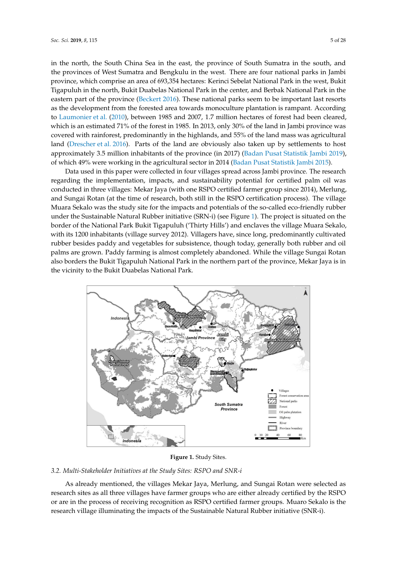in the north, the South China Sea in the east, the province of South Sumatra in the south, and the provinces of West Sumatra and Bengkulu in the west. There are four national parks in Jambi province, which comprise an area of 693,354 hectares: Kerinci Sebelat National Park in the west, Bukit Tigapuluh in the north, Bukit Duabelas National Park in the center, and Berbak National Park in the eastern part of the province [\(Beckert](#page-24-7) [2016\)](#page-24-7). These national parks seem to be important last resorts as the development from the forested area towards monoculture plantation is rampant. According to [Laumonier et al.](#page-26-8) [\(2010\)](#page-26-8), between 1985 and 2007, 1.7 million hectares of forest had been cleared, which is an estimated 71% of the forest in 1985. In 2013, only 30% of the land in Jambi province was  $\,$ covered with rainforest, predominantly in the highlands, and 55% of the land mass was agricultural land [\(Drescher et al.](#page-24-11) [2016\)](#page-24-11). Parts of the land are obviously also taken up by settlements to host approximately 3.5 million inhabitants of the province (in 2017) [\(Badan Pusat Statistik Jambi](#page-24-12) [2019\)](#page-24-12), of which 49% were working in the agricultural sector in 2014 [\(Badan Pusat Statistik Jambi](#page-24-13) [2015\)](#page-24-13).

Data used in this paper were collected in four villages spread across Jambi province. The research regarding the implementation, impacts, and sustainability potential for certified palm oil was conducted in three villages: Mekar Jaya (with one RSPO certified farmer group since 2014), Merlung, and Sungai Rotan (at the time of research, both still in the RSPO certification process). The village Muara Sekalo was the study site for the impacts and potentials of the so-called eco-friendly rubber under the Sustainable Natural Rubber initiative (SRN-i) (see Figure [1\)](#page-4-0). The project is situated on the border of the National Park Bukit Tigapuluh ('Thirty Hills') and enclaves the village Muara Sekalo, with its 1200 inhabitants (village survey 2012). Villagers have, since long, predominantly cultivated rubber besides paddy and vegetables for subsistence, though today, generally both rubber and oil palms are grown. Paddy farming is almost completely abandoned. While the village Sungai Rotan also borders the Bukit Tigapuluh National Park in the northern part of the province, Mekar Jaya is in the vicinity to the Bukit Duabelas National Park. and about the proper necessarilon in half vinages special across jambi province. The p or the Franchia Fark Dakit Hgapalan (Thirty This ) and cheaves the vinage madra Jaya is in the vicinity to the Bukit Duabelas National Park.

<span id="page-4-0"></span>

**Figure 1.** Study Sites. **Figure 1.** Study Sites.

### *3.2. Multi-Stakeholder Initiatives at the Study Sites: RSPO and SNR-i 3.2. Multi-Stakeholder Initiatives at the Study Sites: RSPO and SNR-i*

As already mentioned, the villages Mekar Jaya, Merlung, and Sungai Rotan were selected as As already mentioned, the villages Mekar Jaya, Merlung, and Sungai Rotan were selected as <br>As already mentioned, the villages Mekar Jaya, Merlung, and Sungai Rotan were selected as research sites as all three villages have farmer groups who are either already certified by the RSPO or are in the process of receiving recognition as RSPO certified farmer groups. Muaro Sekalo is the research village illuminating the impacts of the Sustainable Natural Rubber initiative (SNR-i).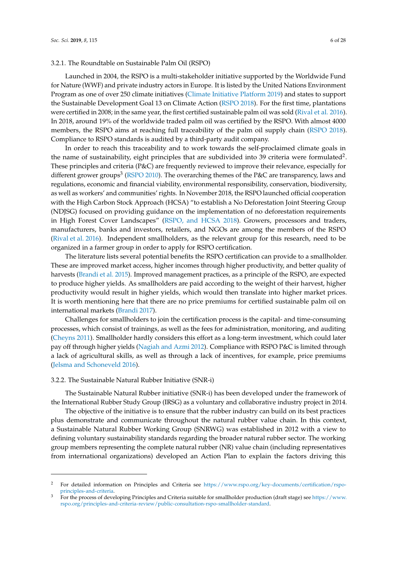Launched in 2004, the RSPO is a multi-stakeholder initiative supported by the Worldwide Fund for Nature (WWF) and private industry actors in Europe. It is listed by the United Nations Environment Program as one of over 250 climate initiatives [\(Climate Initiative Platform](#page-24-14) [2019\)](#page-24-14) and states to support the Sustainable Development Goal 13 on Climate Action [\(RSPO](#page-26-9) [2018\)](#page-26-9). For the first time, plantations were certified in 2008; in the same year, the first certified sustainable palm oil was sold [\(Rival et al.](#page-26-10) [2016\)](#page-26-10). In 2018, around 19% of the worldwide traded palm oil was certified by the RSPO. With almost 4000 members, the RSPO aims at reaching full traceability of the palm oil supply chain [\(RSPO](#page-26-9) [2018\)](#page-26-9). Compliance to RSPO standards is audited by a third-party audit company.

In order to reach this traceability and to work towards the self-proclaimed climate goals in the name of sustainability, eight principles that are subdivided into 39 criteria were formulated<sup>2</sup>. These principles and criteria (P&C) are frequently reviewed to improve their relevance, especially for different grower groups<sup>3</sup> [\(RSPO](#page-26-11) [2010\)](#page-26-11). The overarching themes of the P&C are transparency, laws and regulations, economic and financial viability, environmental responsibility, conservation, biodiversity, as well as workers' and communities' rights. In November 2018, the RSPO launched official cooperation with the High Carbon Stock Approach (HCSA) "to establish a No Deforestation Joint Steering Group (NDJSG) focused on providing guidance on the implementation of no deforestation requirements in High Forest Cover Landscapes" [\(RSPO, and HCSA](#page-26-12) [2018\)](#page-26-12). Growers, processors and traders, manufacturers, banks and investors, retailers, and NGOs are among the members of the RSPO [\(Rival et al.](#page-26-10) [2016\)](#page-26-10). Independent smallholders, as the relevant group for this research, need to be organized in a farmer group in order to apply for RSPO certification.

The literature lists several potential benefits the RSPO certification can provide to a smallholder. These are improved market access, higher incomes through higher productivity, and better quality of harvests [\(Brandi et al.](#page-24-2) [2015\)](#page-24-2). Improved management practices, as a principle of the RSPO, are expected to produce higher yields. As smallholders are paid according to the weight of their harvest, higher productivity would result in higher yields, which would then translate into higher market prices. It is worth mentioning here that there are no price premiums for certified sustainable palm oil on international markets [\(Brandi](#page-24-15) [2017\)](#page-24-15).

Challenges for smallholders to join the certification process is the capital- and time-consuming processes, which consist of trainings, as well as the fees for administration, monitoring, and auditing [\(Cheyns](#page-24-16) [2011\)](#page-24-16). Smallholder hardly considers this effort as a long-term investment, which could later pay off through higher yields [\(Nagiah and Azmi](#page-26-13) [2012\)](#page-26-13). Compliance with RSPO P&C is limited through a lack of agricultural skills, as well as through a lack of incentives, for example, price premiums [\(Jelsma and Schoneveld](#page-25-12) [2016\)](#page-25-12).

#### 3.2.2. The Sustainable Natural Rubber Initiative (SNR-i)

The Sustainable Natural Rubber initiative (SNR-i) has been developed under the framework of the International Rubber Study Group (IRSG) as a voluntary and collaborative industry project in 2014.

The objective of the initiative is to ensure that the rubber industry can build on its best practices plus demonstrate and communicate throughout the natural rubber value chain. In this context, a Sustainable Natural Rubber Working Group (SNRWG) was established in 2012 with a view to defining voluntary sustainability standards regarding the broader natural rubber sector. The working group members representing the complete natural rubber (NR) value chain (including representatives from international organizations) developed an Action Plan to explain the factors driving this

<sup>2</sup> For detailed information on Principles and Criteria see [https://www.rspo.org/key-documents/certification/rspo](https://www.rspo.org/key-documents/certification/rspo-principles-and-criteria)[principles-and-criteria.](https://www.rspo.org/key-documents/certification/rspo-principles-and-criteria)

<sup>3</sup> For the process of developing Principles and Criteria suitable for smallholder production (draft stage) see [https://www.](https://www.rspo.org/principles-and-criteria-review/public-consultation-rspo-smallholder-standard) [rspo.org/principles-and-criteria-review/public-consultation-rspo-smallholder-standard.](https://www.rspo.org/principles-and-criteria-review/public-consultation-rspo-smallholder-standard)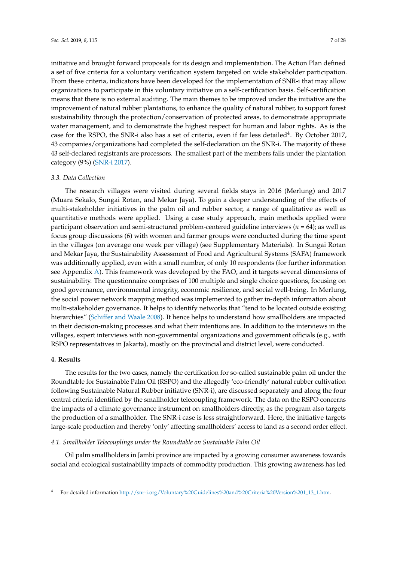initiative and brought forward proposals for its design and implementation. The Action Plan defined a set of five criteria for a voluntary verification system targeted on wide stakeholder participation. From these criteria, indicators have been developed for the implementation of SNR-i that may allow organizations to participate in this voluntary initiative on a self-certification basis. Self-certification means that there is no external auditing. The main themes to be improved under the initiative are the improvement of natural rubber plantations, to enhance the quality of natural rubber, to support forest sustainability through the protection/conservation of protected areas, to demonstrate appropriate water management, and to demonstrate the highest respect for human and labor rights. As is the case for the RSPO, the SNR-i also has a set of criteria, even if far less detailed<sup>4</sup>. By October 2017, 43 companies/organizations had completed the self-declaration on the SNR-i. The majority of these 43 self-declared registrants are processors. The smallest part of the members falls under the plantation category (9%) [\(SNR-i](#page-26-14) [2017\)](#page-26-14).

#### *3.3. Data Collection*

The research villages were visited during several fields stays in 2016 (Merlung) and 2017 (Muara Sekalo, Sungai Rotan, and Mekar Jaya). To gain a deeper understanding of the effects of multi-stakeholder initiatives in the palm oil and rubber sector, a range of qualitative as well as quantitative methods were applied. Using a case study approach, main methods applied were participant observation and semi-structured problem-centered guideline interviews (*n* = 64); as well as focus group discussions (6) with women and farmer groups were conducted during the time spent in the villages (on average one week per village) (see Supplementary Materials). In Sungai Rotan and Mekar Jaya, the Sustainability Assessment of Food and Agricultural Systems (SAFA) framework was additionally applied, even with a small number, of only 10 respondents (for further information see Appendix [A\)](#page-13-0). This framework was developed by the FAO, and it targets several dimensions of sustainability. The questionnaire comprises of 100 multiple and single choice questions, focusing on good governance, environmental integrity, economic resilience, and social well-being. In Merlung, the social power network mapping method was implemented to gather in-depth information about multi-stakeholder governance. It helps to identify networks that "tend to be located outside existing hierarchies" [\(Schiffer and Waale](#page-26-15) [2008\)](#page-26-15). It hence helps to understand how smallholders are impacted in their decision-making processes and what their intentions are. In addition to the interviews in the villages, expert interviews with non-governmental organizations and government officials (e.g., with RSPO representatives in Jakarta), mostly on the provincial and district level, were conducted.

### **4. Results**

The results for the two cases, namely the certification for so-called sustainable palm oil under the Roundtable for Sustainable Palm Oil (RSPO) and the allegedly 'eco-friendly' natural rubber cultivation following Sustainable Natural Rubber initiative (SNR-i), are discussed separately and along the four central criteria identified by the smallholder telecoupling framework. The data on the RSPO concerns the impacts of a climate governance instrument on smallholders directly, as the program also targets the production of a smallholder. The SNR-i case is less straightforward. Here, the initiative targets large-scale production and thereby 'only' affecting smallholders' access to land as a second order effect.

#### *4.1. Smallholder Telecouplings under the Roundtable on Sustainable Palm Oil*

Oil palm smallholders in Jambi province are impacted by a growing consumer awareness towards social and ecological sustainability impacts of commodity production. This growing awareness has led

<sup>4</sup> For detailed information [http://snr-i.org/Voluntary%20Guidelines%20and%20Criteria%20Version%201\\_13\\_1.htm.](http://snr-i.org/Voluntary%20Guidelines%20and%20Criteria%20Version%201_13_1.htm)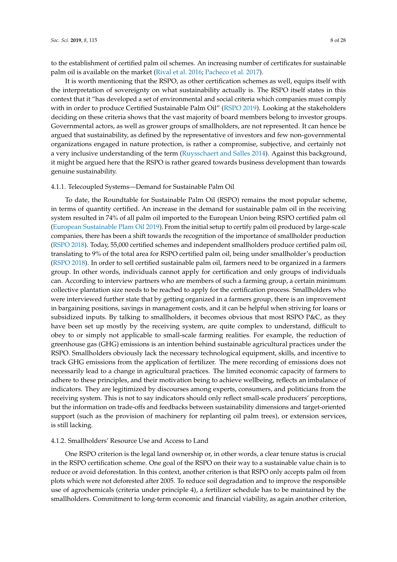to the establishment of certified palm oil schemes. An increasing number of certificates for sustainable palm oil is available on the market [\(Rival et al.](#page-26-10) [2016;](#page-26-10) [Pacheco et al.](#page-26-16) [2017\)](#page-26-16).

It is worth mentioning that the RSPO, as other certification schemes as well, equips itself with the interpretation of sovereignty on what sustainability actually is. The RSPO itself states in this context that it "has developed a set of environmental and social criteria which companies must comply with in order to produce Certified Sustainable Palm Oil" [\(RSPO](#page-26-17) [2019\)](#page-26-17). Looking at the stakeholders deciding on these criteria shows that the vast majority of board members belong to investor groups. Governmental actors, as well as grower groups of smallholders, are not represented. It can hence be argued that sustainability, as defined by the representative of investors and few non-governmental organizations engaged in nature protection, is rather a compromise, subjective, and certainly not a very inclusive understanding of the term [\(Ruysschaert and Salles](#page-26-18) [2014\)](#page-26-18). Against this background, it might be argued here that the RSPO is rather geared towards business development than towards genuine sustainability.

### 4.1.1. Telecoupled Systems—Demand for Sustainable Palm Oil

To date, the Roundtable for Sustainable Palm Oil (RSPO) remains the most popular scheme, in terms of quantity certified. An increase in the demand for sustainable palm oil in the receiving system resulted in 74% of all palm oil imported to the European Union being RSPO certified palm oil [\(European Sustainable Plam Oil](#page-24-17) [2019\)](#page-24-17). From the initial setup to certify palm oil produced by large-scale companies, there has been a shift towards the recognition of the importance of smallholder production [\(RSPO](#page-26-9) [2018\)](#page-26-9). Today, 55,000 certified schemes and independent smallholders produce certified palm oil, translating to 9% of the total area for RSPO certified palm oil, being under smallholder's production [\(RSPO](#page-26-9) [2018\)](#page-26-9). In order to sell certified sustainable palm oil, farmers need to be organized in a farmers group. In other words, individuals cannot apply for certification and only groups of individuals can. According to interview partners who are members of such a farming group, a certain minimum collective plantation size needs to be reached to apply for the certification process. Smallholders who were interviewed further state that by getting organized in a farmers group, there is an improvement in bargaining positions, savings in management costs, and it can be helpful when striving for loans or subsidized inputs. By talking to smallholders, it becomes obvious that most RSPO P&C, as they have been set up mostly by the receiving system, are quite complex to understand, difficult to obey to or simply not applicable to small-scale farming realities. For example, the reduction of greenhouse gas (GHG) emissions is an intention behind sustainable agricultural practices under the RSPO. Smallholders obviously lack the necessary technological equipment, skills, and incentive to track GHG emissions from the application of fertilizer. The mere recording of emissions does not necessarily lead to a change in agricultural practices. The limited economic capacity of farmers to adhere to these principles, and their motivation being to achieve wellbeing, reflects an imbalance of indicators. They are legitimized by discourses among experts, consumers, and politicians from the receiving system. This is not to say indicators should only reflect small-scale producers' perceptions, but the information on trade-offs and feedbacks between sustainability dimensions and target-oriented support (such as the provision of machinery for replanting oil palm trees), or extension services, is still lacking.

#### 4.1.2. Smallholders' Resource Use and Access to Land

One RSPO criterion is the legal land ownership or, in other words, a clear tenure status is crucial in the RSPO certification scheme. One goal of the RSPO on their way to a sustainable value chain is to reduce or avoid deforestation. In this context, another criterion is that RSPO only accepts palm oil from plots which were not deforested after 2005. To reduce soil degradation and to improve the responsible use of agrochemicals (criteria under principle 4), a fertilizer schedule has to be maintained by the smallholders. Commitment to long-term economic and financial viability, as again another criterion,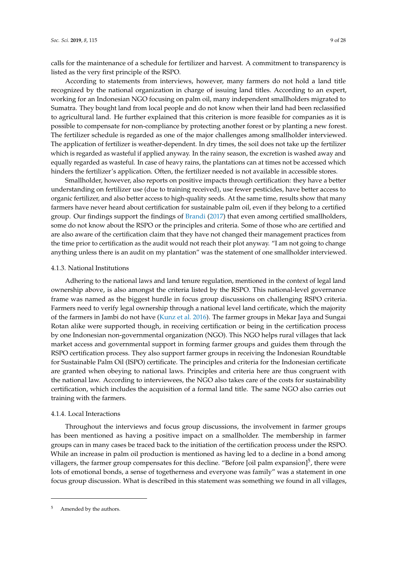calls for the maintenance of a schedule for fertilizer and harvest. A commitment to transparency is listed as the very first principle of the RSPO.

According to statements from interviews, however, many farmers do not hold a land title recognized by the national organization in charge of issuing land titles. According to an expert, working for an Indonesian NGO focusing on palm oil, many independent smallholders migrated to Sumatra. They bought land from local people and do not know when their land had been reclassified to agricultural land. He further explained that this criterion is more feasible for companies as it is possible to compensate for non-compliance by protecting another forest or by planting a new forest. The fertilizer schedule is regarded as one of the major challenges among smallholder interviewed. The application of fertilizer is weather-dependent. In dry times, the soil does not take up the fertilizer which is regarded as wasteful if applied anyway. In the rainy season, the excretion is washed away and equally regarded as wasteful. In case of heavy rains, the plantations can at times not be accessed which hinders the fertilizer's application. Often, the fertilizer needed is not available in accessible stores.

Smallholder, however, also reports on positive impacts through certification: they have a better understanding on fertilizer use (due to training received), use fewer pesticides, have better access to organic fertilizer, and also better access to high-quality seeds. At the same time, results show that many farmers have never heard about certification for sustainable palm oil, even if they belong to a certified group. Our findings support the findings of [Brandi](#page-24-15) [\(2017\)](#page-24-15) that even among certified smallholders, some do not know about the RSPO or the principles and criteria. Some of those who are certified and are also aware of the certification claim that they have not changed their management practices from the time prior to certification as the audit would not reach their plot anyway. "I am not going to change anything unless there is an audit on my plantation" was the statement of one smallholder interviewed.

#### 4.1.3. National Institutions

Adhering to the national laws and land tenure regulation, mentioned in the context of legal land ownership above, is also amongst the criteria listed by the RSPO. This national-level governance frame was named as the biggest hurdle in focus group discussions on challenging RSPO criteria. Farmers need to verify legal ownership through a national level land certificate, which the majority of the farmers in Jambi do not have [\(Kunz et al.](#page-25-13) [2016\)](#page-25-13). The farmer groups in Mekar Jaya and Sungai Rotan alike were supported though, in receiving certification or being in the certification process by one Indonesian non-governmental organization (NGO). This NGO helps rural villages that lack market access and governmental support in forming farmer groups and guides them through the RSPO certification process. They also support farmer groups in receiving the Indonesian Roundtable for Sustainable Palm Oil (ISPO) certificate. The principles and criteria for the Indonesian certificate are granted when obeying to national laws. Principles and criteria here are thus congruent with the national law. According to interviewees, the NGO also takes care of the costs for sustainability certification, which includes the acquisition of a formal land title. The same NGO also carries out training with the farmers.

### 4.1.4. Local Interactions

Throughout the interviews and focus group discussions, the involvement in farmer groups has been mentioned as having a positive impact on a smallholder. The membership in farmer groups can in many cases be traced back to the initiation of the certification process under the RSPO. While an increase in palm oil production is mentioned as having led to a decline in a bond among villagers, the farmer group compensates for this decline. "Before [oil palm expansion] $^5$ , there were lots of emotional bonds, a sense of togetherness and everyone was family" was a statement in one focus group discussion. What is described in this statement was something we found in all villages,

Amended by the authors.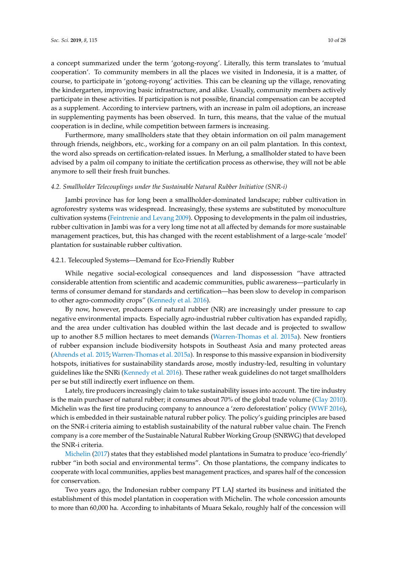a concept summarized under the term 'gotong-royong'. Literally, this term translates to 'mutual cooperation'. To community members in all the places we visited in Indonesia, it is a matter, of course, to participate in 'gotong-royong' activities. This can be cleaning up the village, renovating the kindergarten, improving basic infrastructure, and alike. Usually, community members actively participate in these activities. If participation is not possible, financial compensation can be accepted as a supplement. According to interview partners, with an increase in palm oil adoptions, an increase in supplementing payments has been observed. In turn, this means, that the value of the mutual cooperation is in decline, while competition between farmers is increasing.

Furthermore, many smallholders state that they obtain information on oil palm management through friends, neighbors, etc., working for a company on an oil palm plantation. In this context, the word also spreads on certification-related issues. In Merlung, a smallholder stated to have been advised by a palm oil company to initiate the certification process as otherwise, they will not be able anymore to sell their fresh fruit bunches.

#### *4.2. Smallholder Telecouplings under the Sustainable Natural Rubber Initiative (SNR-i)*

Jambi province has for long been a smallholder-dominated landscape; rubber cultivation in agroforestry systems was widespread. Increasingly, these systems are substituted by monoculture cultivation systems [\(Feintrenie and Levang](#page-24-18) [2009\)](#page-24-18). Opposing to developments in the palm oil industries, rubber cultivation in Jambi was for a very long time not at all affected by demands for more sustainable management practices, but, this has changed with the recent establishment of a large-scale 'model' plantation for sustainable rubber cultivation.

### 4.2.1. Telecoupled Systems—Demand for Eco-Friendly Rubber

While negative social-ecological consequences and land dispossession "have attracted considerable attention from scientific and academic communities, public awareness—particularly in terms of consumer demand for standards and certification—has been slow to develop in comparison to other agro-commodity crops" [\(Kennedy et al.](#page-25-6) [2016\)](#page-25-6).

By now, however, producers of natural rubber (NR) are increasingly under pressure to cap negative environmental impacts. Especially agro-industrial rubber cultivation has expanded rapidly, and the area under cultivation has doubled within the last decade and is projected to swallow up to another 8.5 million hectares to meet demands [\(Warren-Thomas et al.](#page-26-3) [2015a\)](#page-26-3). New frontiers of rubber expansion include biodiversity hotspots in Southeast Asia and many protected areas [\(Ahrends et al.](#page-23-0) [2015;](#page-23-0) [Warren-Thomas et al.](#page-26-3) [2015a\)](#page-26-3). In response to this massive expansion in biodiversity hotspots, initiatives for sustainability standards arose, mostly industry-led, resulting in voluntary guidelines like the SNRi [\(Kennedy et al.](#page-25-6) [2016\)](#page-25-6). These rather weak guidelines do not target smallholders per se but still indirectly exert influence on them.

Lately, tire producers increasingly claim to take sustainability issues into account. The tire industry is the main purchaser of natural rubber; it consumes about 70% of the global trade volume [\(Clay](#page-24-19) [2010\)](#page-24-19). Michelin was the first tire producing company to announce a 'zero deforestation' policy [\(WWF](#page-27-4) [2016\)](#page-27-4), which is embedded in their sustainable natural rubber policy. The policy's guiding principles are based on the SNR-i criteria aiming to establish sustainability of the natural rubber value chain. The French company is a core member of the Sustainable Natural Rubber Working Group (SNRWG) that developed the SNR-i criteria.

[Michelin](#page-26-19) [\(2017\)](#page-26-19) states that they established model plantations in Sumatra to produce 'eco-friendly' rubber "in both social and environmental terms". On those plantations, the company indicates to cooperate with local communities, applies best management practices, and spares half of the concession for conservation.

Two years ago, the Indonesian rubber company PT LAJ started its business and initiated the establishment of this model plantation in cooperation with Michelin. The whole concession amounts to more than 60,000 ha. According to inhabitants of Muara Sekalo, roughly half of the concession will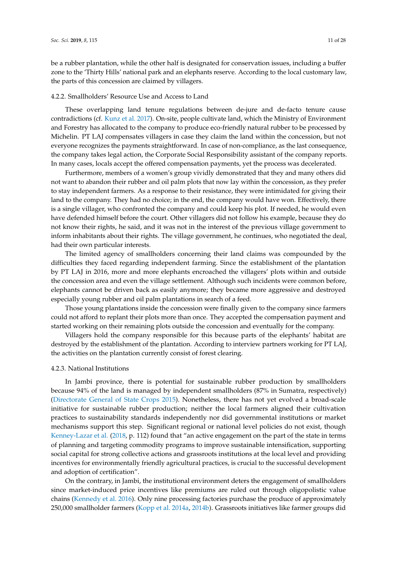be a rubber plantation, while the other half is designated for conservation issues, including a buffer zone to the 'Thirty Hills' national park and an elephants reserve. According to the local customary law, the parts of this concession are claimed by villagers.

#### 4.2.2. Smallholders' Resource Use and Access to Land

These overlapping land tenure regulations between de-jure and de-facto tenure cause contradictions (cf. [Kunz et al.](#page-25-14) [2017\)](#page-25-14). On-site, people cultivate land, which the Ministry of Environment and Forestry has allocated to the company to produce eco-friendly natural rubber to be processed by Michelin. PT LAJ compensates villagers in case they claim the land within the concession, but not everyone recognizes the payments straightforward. In case of non-compliance, as the last consequence, the company takes legal action, the Corporate Social Responsibility assistant of the company reports. In many cases, locals accept the offered compensation payments, yet the process was decelerated.

Furthermore, members of a women's group vividly demonstrated that they and many others did not want to abandon their rubber and oil palm plots that now lay within the concession, as they prefer to stay independent farmers. As a response to their resistance, they were intimidated for giving their land to the company. They had no choice; in the end, the company would have won. Effectively, there is a single villager, who confronted the company and could keep his plot. If needed, he would even have defended himself before the court. Other villagers did not follow his example, because they do not know their rights, he said, and it was not in the interest of the previous village government to inform inhabitants about their rights. The village government, he continues, who negotiated the deal, had their own particular interests.

The limited agency of smallholders concerning their land claims was compounded by the difficulties they faced regarding independent farming. Since the establishment of the plantation by PT LAJ in 2016, more and more elephants encroached the villagers' plots within and outside the concession area and even the village settlement. Although such incidents were common before, elephants cannot be driven back as easily anymore; they became more aggressive and destroyed especially young rubber and oil palm plantations in search of a feed.

Those young plantations inside the concession were finally given to the company since farmers could not afford to replant their plots more than once. They accepted the compensation payment and started working on their remaining plots outside the concession and eventually for the company.

Villagers hold the company responsible for this because parts of the elephants' habitat are destroyed by the establishment of the plantation. According to interview partners working for PT LAJ, the activities on the plantation currently consist of forest clearing.

#### 4.2.3. National Institutions

In Jambi province, there is potential for sustainable rubber production by smallholders because 94% of the land is managed by independent smallholders (87% in Sumatra, respectively) [\(Directorate General of State Crops](#page-24-20) [2015\)](#page-24-20). Nonetheless, there has not yet evolved a broad-scale initiative for sustainable rubber production; neither the local farmers aligned their cultivation practices to sustainability standards independently nor did governmental institutions or market mechanisms support this step. Significant regional or national level policies do not exist, though [Kenney-Lazar et al.](#page-25-7) [\(2018,](#page-25-7) p. 112) found that "an active engagement on the part of the state in terms of planning and targeting commodity programs to improve sustainable intensification, supporting social capital for strong collective actions and grassroots institutions at the local level and providing incentives for environmentally friendly agricultural practices, is crucial to the successful development and adoption of certification".

On the contrary, in Jambi, the institutional environment deters the engagement of smallholders since market-induced price incentives like premiums are ruled out through oligopolistic value chains [\(Kennedy et al.](#page-25-6) [2016\)](#page-25-6). Only nine processing factories purchase the produce of approximately 250,000 smallholder farmers [\(Kopp et al.](#page-25-15) [2014a,](#page-25-15) [2014b\)](#page-25-16). Grassroots initiatives like farmer groups did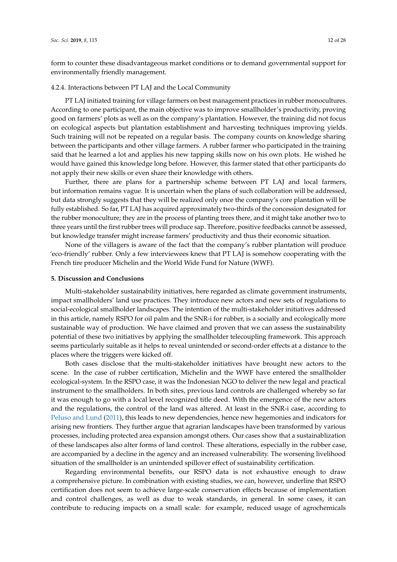form to counter these disadvantageous market conditions or to demand governmental support for environmentally friendly management.

#### 4.2.4. Interactions between PT LAJ and the Local Community

PT LAJ initiated training for village farmers on best management practices in rubber monocultures. According to one participant, the main objective was to improve smallholder's productivity, proving good on farmers' plots as well as on the company's plantation. However, the training did not focus on ecological aspects but plantation establishment and harvesting techniques improving yields. Such training will not be repeated on a regular basis. The company counts on knowledge sharing between the participants and other village farmers. A rubber farmer who participated in the training said that he learned a lot and applies his new tapping skills now on his own plots. He wished he would have gained this knowledge long before. However, this farmer stated that other participants do not apply their new skills or even share their knowledge with others.

Further, there are plans for a partnership scheme between PT LAJ and local farmers, but information remains vague. It is uncertain when the plans of such collaboration will be addressed, but data strongly suggests that they will be realized only once the company's core plantation will be fully established. So far, PT LAJ has acquired approximately two-thirds of the concession designated for the rubber monoculture; they are in the process of planting trees there, and it might take another two to three years until the first rubber trees will produce sap. Therefore, positive feedbacks cannot be assessed, but knowledge transfer might increase farmers' productivity and thus their economic situation.

None of the villagers is aware of the fact that the company's rubber plantation will produce 'eco-friendly' rubber. Only a few interviewees knew that PT LAJ is somehow cooperating with the French tire producer Michelin and the World Wide Fund for Nature (WWF).

#### **5. Discussion and Conclusions**

Multi-stakeholder sustainability initiatives, here regarded as climate government instruments, impact smallholders' land use practices. They introduce new actors and new sets of regulations to social-ecological smallholder landscapes. The intention of the multi-stakeholder initiatives addressed in this article, namely RSPO for oil palm and the SNR-i for rubber, is a socially and ecologically more sustainable way of production. We have claimed and proven that we can assess the sustainability potential of these two initiatives by applying the smallholder telecoupling framework. This approach seems particularly suitable as it helps to reveal unintended or second-order effects at a distance to the places where the triggers were kicked off.

Both cases disclose that the multi-stakeholder initiatives have brought new actors to the scene. In the case of rubber certification, Michelin and the WWF have entered the smallholder ecological-system. In the RSPO case, it was the Indonesian NGO to deliver the new legal and practical instrument to the smallholders. In both sites, previous land controls are challenged whereby so far it was enough to go with a local level recognized title deed. With the emergence of the new actors and the regulations, the control of the land was altered. At least in the SNR-i case, according to [Peluso and Lund](#page-26-4) [\(2011\)](#page-26-4), this leads to new dependencies, hence new hegemonies and indicators for arising new frontiers. They further argue that agrarian landscapes have been transformed by various processes, including protected area expansion amongst others. Our cases show that a sustainablization of these landscapes also alter forms of land control. These alterations, especially in the rubber case, are accompanied by a decline in the agency and an increased vulnerability. The worsening livelihood situation of the smallholder is an unintended spillover effect of sustainability certification.

Regarding environmental benefits, our RSPO data is not exhaustive enough to draw a comprehensive picture. In combination with existing studies, we can, however, underline that RSPO certification does not seem to achieve large-scale conservation effects because of implementation and control challenges, as well as due to weak standards, in general. In some cases, it can contribute to reducing impacts on a small scale: for example, reduced usage of agrochemicals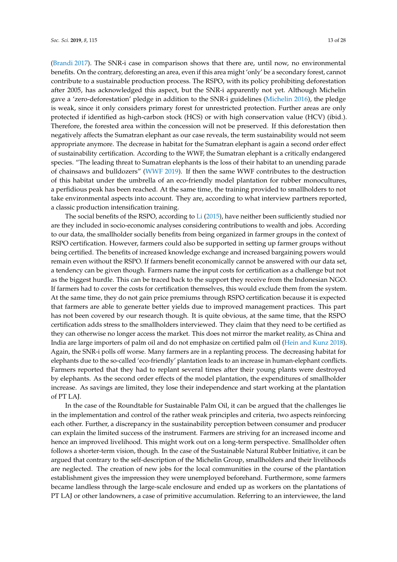[\(Brandi](#page-24-15) [2017\)](#page-24-15). The SNR-i case in comparison shows that there are, until now, no environmental benefits. On the contrary, deforesting an area, even if this area might 'only' be a secondary forest, cannot contribute to a sustainable production process. The RSPO, with its policy prohibiting deforestation after 2005, has acknowledged this aspect, but the SNR-i apparently not yet. Although Michelin gave a 'zero-deforestation' pledge in addition to the SNR-i guidelines [\(Michelin](#page-26-20) [2016\)](#page-26-20), the pledge is weak, since it only considers primary forest for unrestricted protection. Further areas are only protected if identified as high-carbon stock (HCS) or with high conservation value (HCV) (ibid.). Therefore, the forested area within the concession will not be preserved. If this deforestation then negatively affects the Sumatran elephant as our case reveals, the term sustainability would not seem appropriate anymore. The decrease in habitat for the Sumatran elephant is again a second order effect of sustainability certification. According to the WWF, the Sumatran elephant is a critically endangered species. "The leading threat to Sumatran elephants is the loss of their habitat to an unending parade of chainsaws and bulldozers" [\(WWF](#page-27-5) [2019\)](#page-27-5). If then the same WWF contributes to the destruction of this habitat under the umbrella of an eco-friendly model plantation for rubber monocultures, a perfidious peak has been reached. At the same time, the training provided to smallholders to not take environmental aspects into account. They are, according to what interview partners reported, a classic production intensification training.

The social benefits of the RSPO, according to [Li](#page-26-21) [\(2015\)](#page-26-21), have neither been sufficiently studied nor are they included in socio-economic analyses considering contributions to wealth and jobs. According to our data, the smallholder socially benefits from being organized in farmer groups in the context of RSPO certification. However, farmers could also be supported in setting up farmer groups without being certified. The benefits of increased knowledge exchange and increased bargaining powers would remain even without the RSPO. If farmers benefit economically cannot be answered with our data set, a tendency can be given though. Farmers name the input costs for certification as a challenge but not as the biggest hurdle. This can be traced back to the support they receive from the Indonesian NGO. If farmers had to cover the costs for certification themselves, this would exclude them from the system. At the same time, they do not gain price premiums through RSPO certification because it is expected that farmers are able to generate better yields due to improved management practices. This part has not been covered by our research though. It is quite obvious, at the same time, that the RSPO certification adds stress to the smallholders interviewed. They claim that they need to be certified as they can otherwise no longer access the market. This does not mirror the market reality, as China and India are large importers of palm oil and do not emphasize on certified palm oil [\(Hein and Kunz](#page-25-17) [2018\)](#page-25-17). Again, the SNR-i polls off worse. Many farmers are in a replanting process. The decreasing habitat for elephants due to the so-called 'eco-friendly' plantation leads to an increase in human-elephant conflicts. Farmers reported that they had to replant several times after their young plants were destroyed by elephants. As the second order effects of the model plantation, the expenditures of smallholder increase. As savings are limited, they lose their independence and start working at the plantation of PT LAJ.

In the case of the Roundtable for Sustainable Palm Oil, it can be argued that the challenges lie in the implementation and control of the rather weak principles and criteria, two aspects reinforcing each other. Further, a discrepancy in the sustainability perception between consumer and producer can explain the limited success of the instrument. Farmers are striving for an increased income and hence an improved livelihood. This might work out on a long-term perspective. Smallholder often follows a shorter-term vision, though. In the case of the Sustainable Natural Rubber Initiative, it can be argued that contrary to the self-description of the Michelin Group, smallholders and their livelihoods are neglected. The creation of new jobs for the local communities in the course of the plantation establishment gives the impression they were unemployed beforehand. Furthermore, some farmers became landless through the large-scale enclosure and ended up as workers on the plantations of PT LAJ or other landowners, a case of primitive accumulation. Referring to an interviewee, the land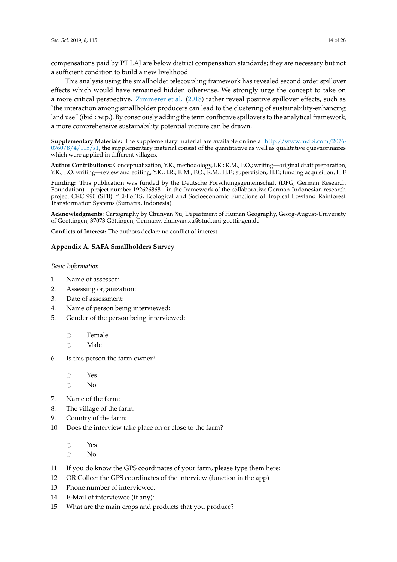compensations paid by PT LAJ are below district compensation standards; they are necessary but not a sufficient condition to build a new livelihood.

This analysis using the smallholder telecoupling framework has revealed second order spillover effects which would have remained hidden otherwise. We strongly urge the concept to take on a more critical perspective. [Zimmerer et al.](#page-27-1) [\(2018\)](#page-27-1) rather reveal positive spillover effects, such as "the interaction among smallholder producers can lead to the clustering of sustainability-enhancing land use" (ibid.: w.p.). By consciously adding the term conflictive spillovers to the analytical framework, a more comprehensive sustainability potential picture can be drawn.

**Supplementary Materials:** The supplementary material are available online at [http://www.mdpi.com/2076-](http://www.mdpi.com/2076-0760/8/4/115/s1)  $0760/8/4/115/s1$ , the supplementary material consist of the quantitative as well as qualitative questionnaires which were applied in different villages.

**Author Contributions:** Conceptualization, Y.K.; methodology, I.R.; K.M., F.O.; writing—original draft preparation, Y.K.; F.O. writing—review and editing, Y.K.; I.R.; K.M., F.O.; R.M.; H.F.; supervision, H.F.; funding acquisition, H.F.

**Funding:** This publication was funded by the Deutsche Forschungsgemeinschaft (DFG, German Research Foundation)—project number 192626868—in the framework of the collaborative German-Indonesian research project CRC 990 (SFB): "EFForTS, Ecological and Socioeconomic Functions of Tropical Lowland Rainforest Transformation Systems (Sumatra, Indonesia).

**Acknowledgments:** Cartography by Chunyan Xu, Department of Human Geography, Georg-August-University of Goettingen, 37073 Göttingen, Germany, chunyan.xu@stud.uni-goettingen.de.

**Conflicts of Interest:** The authors declare no conflict of interest.

### <span id="page-13-0"></span>**Appendix A. SAFA Smallholders Survey**

### *Basic Information*

- 1. Name of assessor:
- 2. Assessing organization:
- 3. Date of assessment:
- 4. Name of person being interviewed:
- 5. Gender of the person being interviewed:
	- $\circ$  Female
	- Male
- 6. Is this person the farm owner?

 $\circ$  Yes

- $\bigcirc$  No
- 7. Name of the farm:
- 8. The village of the farm:
- 9. Country of the farm:
- 10. Does the interview take place on or close to the farm?
	- $\bigcirc$  Yes
	- $\circ$  No
- 11. If you do know the GPS coordinates of your farm, please type them here:
- 12. OR Collect the GPS coordinates of the interview (function in the app)
- 13. Phone number of interviewee:
- 14. E-Mail of interviewee (if any):
- 15. What are the main crops and products that you produce?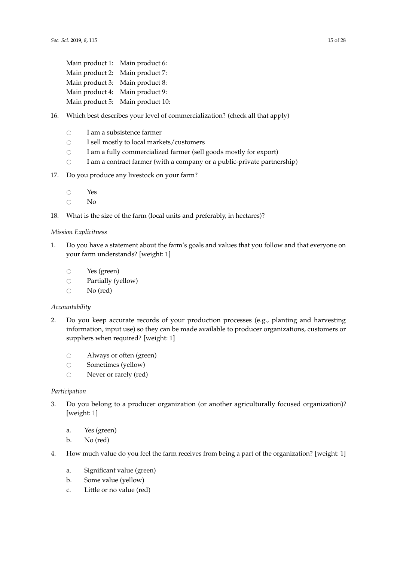| Main product 1: Main product 6: |                                  |
|---------------------------------|----------------------------------|
| Main product 2: Main product 7: |                                  |
| Main product 3: Main product 8: |                                  |
| Main product 4: Main product 9: |                                  |
|                                 | Main product 5: Main product 10: |

- 16. Which best describes your level of commercialization? (check all that apply)
	- $\circ$  I am a subsistence farmer<br> $\circ$  I sell mostly to local mark
	- $\circ$  I sell mostly to local markets/customers<br> $\circ$  I am a fully commercialized farmer (sell
	- $\circ$  I am a fully commercialized farmer (sell goods mostly for export)<br> $\circ$  I am a contract farmer (with a company or a public-private partne
	- I am a contract farmer (with a company or a public-private partnership)
- 17. Do you produce any livestock on your farm?
	- $\circ$  Yes
	- $\overline{N}$
- 18. What is the size of the farm (local units and preferably, in hectares)?

#### *Mission Explicitness*

- 1. Do you have a statement about the farm's goals and values that you follow and that everyone on your farm understands? [weight: 1]
	- $\circ$  Yes (green)<br> $\circ$  Partially (y
	- $\circ$  Partially (yellow)<br> $\circ$  No (red)
	- No (red)

### *Accountability*

- 2. Do you keep accurate records of your production processes (e.g., planting and harvesting information, input use) so they can be made available to producer organizations, customers or suppliers when required? [weight: 1]
	- $\circ$  Always or often (green)<br> $\circ$  Sometimes (yellow)
	- $\circ$  Sometimes (yellow)<br> $\circ$  Never or rarely (red
	- Never or rarely (red)

#### *Participation*

- 3. Do you belong to a producer organization (or another agriculturally focused organization)? [weight: 1]
	- a. Yes (green)
	- b. No (red)
- 4. How much value do you feel the farm receives from being a part of the organization? [weight: 1]
	- a. Significant value (green)
	- b. Some value (yellow)
	- c. Little or no value (red)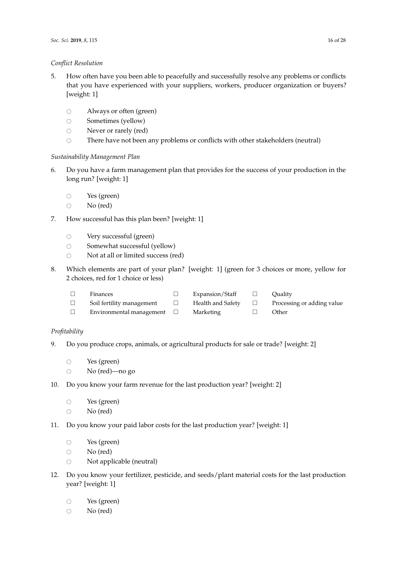### *Conflict Resolution*

- 5. How often have you been able to peacefully and successfully resolve any problems or conflicts that you have experienced with your suppliers, workers, producer organization or buyers? [weight: 1]
	- $\circ$  Always or often (green)<br> $\circ$  Sometimes (yellow)
	- $\circ$  Sometimes (yellow)<br> $\circ$  Never or rarely (red
	- Never or rarely (red)
	- $\circ$  There have not been any problems or conflicts with other stakeholders (neutral)

# *Sustainability Management Plan*

- 6. Do you have a farm management plan that provides for the success of your production in the long run? [weight: 1]
	- $\circ$  Yes (green)<br> $\circ$  No (red)
	- No (red)
- 7. How successful has this plan been? [weight: 1]
	-
	- $\circ$  Very successful (green)<br> $\circ$  Somewhat successful (v
	- $\circ$  Somewhat successful (yellow)<br> $\circ$  Not at all or limited success (re Not at all or limited success (red)
- 8. Which elements are part of your plan? [weight: 1] (green for 3 choices or more, yellow for 2 choices, red for 1 choice or less)

 $\Box$  Health and Safety

- Finances □ Expansion/Staff Quality
	- -
		- □ Processing or adding value □ Other
- Environmental management Marketing

 $\Box$  Soil fertility management

# *Profitability*

- 9. Do you produce crops, animals, or agricultural products for sale or trade? [weight: 2]
	- $\circ$  Yes (green)<br> $\circ$  No (red)—
	- No (red)—no go
- 10. Do you know your farm revenue for the last production year? [weight: 2]
	- $\circ$  Yes (green)<br> $\circ$  No (red)

No (red)

- 11. Do you know your paid labor costs for the last production year? [weight: 1]
	- $\circ$  Yes (green)<br> $\circ$  No (red)
	- $\circ$  No (red)<br> $\circ$  Not appl
	- Not applicable (neutral)
- 12. Do you know your fertilizer, pesticide, and seeds/plant material costs for the last production year? [weight: 1]
	- $\circ$  Yes (green)
	- $\circ$  No (red)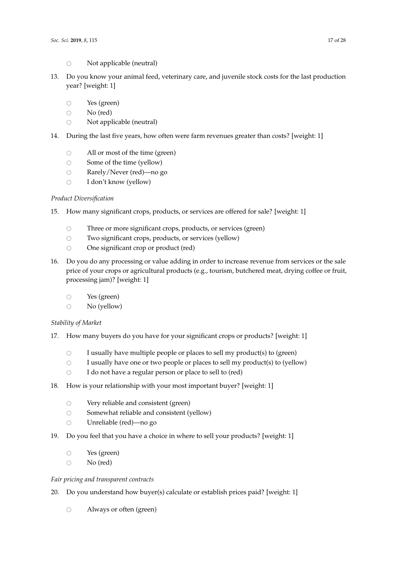- $\circ$  Not applicable (neutral)
- 13. Do you know your animal feed, veterinary care, and juvenile stock costs for the last production year? [weight: 1]
	- $\circ$  Yes (green)<br> $\circ$  No (red)
	- $\circ$  No (red)<br> $\circ$  Not appl
	- Not applicable (neutral)
- 14. During the last five years, how often were farm revenues greater than costs? [weight: 1]
	- $\circ$  All or most of the time (green)<br> $\circ$  Some of the time (vellow)
	- $\circ$  Some of the time (yellow)<br> $\circ$  Rarely/Never (red)—no g
	- $\circ$  Rarely/Never (red)—no go  $\circ$  I don't know (vellow)
	- I don't know (yellow)

# *Product Diversification*

- 15. How many significant crops, products, or services are offered for sale? [weight: 1]
	- $\circ$  Three or more significant crops, products, or services (green)<br> $\circ$  Two significant crops, products, or services (vellow)
	- Two significant crops, products, or services (yellow)
	- $\circ$  One significant crop or product (red)
- 16. Do you do any processing or value adding in order to increase revenue from services or the sale price of your crops or agricultural products (e.g., tourism, butchered meat, drying coffee or fruit, processing jam)? [weight: 1]
	- $\circ$  Yes (green)<br> $\circ$  No (vellow
	- No (yellow)

# *Stability of Market*

- 17. How many buyers do you have for your significant crops or products? [weight: 1]
	- $\circ$  I usually have multiple people or places to sell my product(s) to (green)<br> $\circ$  I usually have one or two people or places to sell my product(s) to (yello
	- $\circ$  I usually have one or two people or places to sell my product(s) to (yellow)<br> $\circ$  I do not have a regular person or place to sell to (red)
	- I do not have a regular person or place to sell to (red)
- 18. How is your relationship with your most important buyer? [weight: 1]
	- $\circ$  Very reliable and consistent (green)<br> $\circ$  Somewhat reliable and consistent (v
	- $\circ$  Somewhat reliable and consistent (yellow)<br> $\circ$  Unreliable (red)—no go
	- Unreliable (red)—no go
- 19. Do you feel that you have a choice in where to sell your products? [weight: 1]
	- $\circ$  Yes (green)<br> $\circ$  No (red)
	- No (red)

### *Fair pricing and transparent contracts*

- 20. Do you understand how buyer(s) calculate or establish prices paid? [weight: 1]
	- $\circ$  Always or often (green)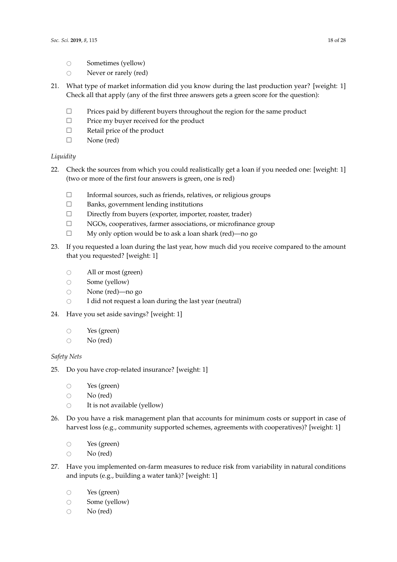- $\circ$  Sometimes (yellow)<br> $\circ$  Never or rarely (red
- Never or rarely (red)
- 21. What type of market information did you know during the last production year? [weight: 1] Check all that apply (any of the first three answers gets a green score for the question):
	- $\square$  Prices paid by different buyers throughout the region for the same product
	- $\Box$  Price my buyer received for the product
	- □ Retail price of the product
	- □ None (red)

# *Liquidity*

- 22. Check the sources from which you could realistically get a loan if you needed one: [weight: 1] (two or more of the first four answers is green, one is red)
	- $\Box$  Informal sources, such as friends, relatives, or religious groups
	- □ Banks, government lending institutions
	- Directly from buyers (exporter, importer, roaster, trader)
	- $\square$  NGOs, cooperatives, farmer associations, or microfinance group
	- $\Box$  My only option would be to ask a loan shark (red)—no go
- 23. If you requested a loan during the last year, how much did you receive compared to the amount that you requested? [weight: 1]
	- $\circ$  All or most (green)<br> $\circ$  Some (yellow)
	- Some (yellow)
	- $\circ$  None (red)—no go<br> $\circ$  I did not request a
	- I did not request a loan during the last year (neutral)
- 24. Have you set aside savings? [weight: 1]
	- $\circ$  Yes (green)<br> $\circ$  No (red)
	- No (red)

# *Safety Nets*

- 25. Do you have crop-related insurance? [weight: 1]
	- $\circ$  Yes (green)<br> $\circ$  No (red)
	-
	- $\circ$  No (red)<br> $\circ$  It is not a It is not available (yellow)
- 26. Do you have a risk management plan that accounts for minimum costs or support in case of harvest loss (e.g., community supported schemes, agreements with cooperatives)? [weight: 1]
	- $\circ$  Yes (green)
	- $\circ$  No (red)
- 27. Have you implemented on-farm measures to reduce risk from variability in natural conditions and inputs (e.g., building a water tank)? [weight: 1]
	- $\circ$  Yes (green)
	- $\circ$  Some (yellow)<br> $\circ$  No (red)
	- No (red)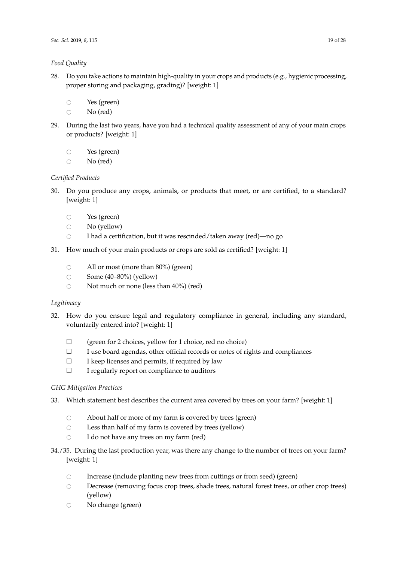# *Food Quality*

- 28. Do you take actions to maintain high-quality in your crops and products (e.g., hygienic processing, proper storing and packaging, grading)? [weight: 1]
	- $\circ$  Yes (green)<br> $\circ$  No (red)
	- No (red)
- 29. During the last two years, have you had a technical quality assessment of any of your main crops or products? [weight: 1]
	- $\circ$  Yes (green)<br> $\circ$  No (red)
	- No (red)

# *Certified Products*

- 30. Do you produce any crops, animals, or products that meet, or are certified, to a standard? [weight: 1]
	-
	- $\circ$  Yes (green)<br> $\circ$  No (vellow  $\circ$  No (yellow)<br> $\circ$  I had a certiing
	- I had a certification, but it was rescinded/taken away (red)—no go
- 31. How much of your main products or crops are sold as certified? [weight: 1]
	- $\circ$  All or most (more than 80%) (green)<br> $\circ$  Some (40–80%) (yellow)
	-
	- $\circ$  Some (40–80%) (yellow)<br> $\circ$  Not much or none (less Not much or none (less than 40%) (red)

# *Legitimacy*

- 32. How do you ensure legal and regulatory compliance in general, including any standard, voluntarily entered into? [weight: 1]
	- $\Box$  (green for 2 choices, yellow for 1 choice, red no choice)
	- $\Box$  I use board agendas, other official records or notes of rights and compliances
	- $\Box$  I keep licenses and permits, if required by law
	- $\Box$  I regularly report on compliance to auditors

# *GHG Mitigation Practices*

- 33. Which statement best describes the current area covered by trees on your farm? [weight: 1]
	- $\circ$  About half or more of my farm is covered by trees (green)<br> $\circ$  Less than half of my farm is covered by trees (yellow)
	- $\circ$  Less than half of my farm is covered by trees (yellow)<br> $\circ$  I do not have any trees on my farm (red)
	- I do not have any trees on my farm (red)
- 34./35. During the last production year, was there any change to the number of trees on your farm? [weight: 1]
	- $\circ$  Increase (include planting new trees from cuttings or from seed) (green)
	- $\circ$  Decrease (removing focus crop trees, shade trees, natural forest trees, or other crop trees) (yellow)
	- $\circ$  No change (green)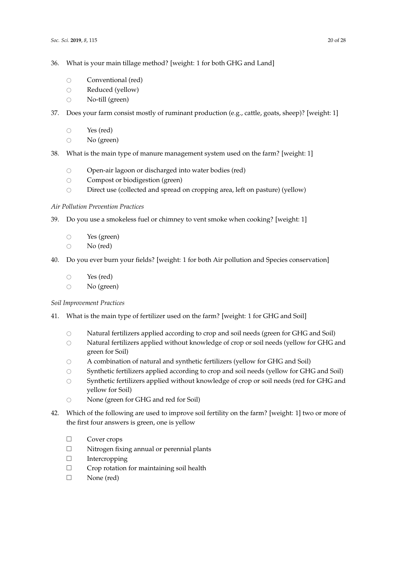- 36. What is your main tillage method? [weight: 1 for both GHG and Land]
	- $\bigcirc$  Conventional (red)
	- $\circ$  Reduced (yellow)<br> $\circ$  No-till (green)
	- No-till (green)
- 37. Does your farm consist mostly of ruminant production (e.g., cattle, goats, sheep)? [weight: 1]
	- $\bigcirc$  Yes (red)
	- $\circ$  No (green)
- 38. What is the main type of manure management system used on the farm? [weight: 1]
	- $\circ$  Open-air lagoon or discharged into water bodies (red)<br> $\circ$  Compost or biodigestion (green)
	- $\circ$  Compost or biodigestion (green)<br> $\circ$  Direct use (collected and spread
	- Direct use (collected and spread on cropping area, left on pasture) (yellow)

### *Air Pollution Prevention Practices*

- 39. Do you use a smokeless fuel or chimney to vent smoke when cooking? [weight: 1]
	- $\circ$  Yes (green)<br> $\circ$  No (red)
	- No (red)
- 40. Do you ever burn your fields? [weight: 1 for both Air pollution and Species conservation]
	- $\circ$  Yes (red)
	- $\circ$  No (green)

### *Soil Improvement Practices*

- 41. What is the main type of fertilizer used on the farm? [weight: 1 for GHG and Soil]
	- $\circ$  Natural fertilizers applied according to crop and soil needs (green for GHG and Soil)<br>
	Natural fertilizers applied without knowledge of crop or soil needs (vellow for GHG and
	- Natural fertilizers applied without knowledge of crop or soil needs (yellow for GHG and green for Soil)
	- $\circ$  A combination of natural and synthetic fertilizers (yellow for GHG and Soil)<br> $\circ$  Synthetic fertilizers applied according to crop and soil needs (yellow for GH
	- Synthetic fertilizers applied according to crop and soil needs (yellow for GHG and Soil)
	- O Synthetic fertilizers applied without knowledge of crop or soil needs (red for GHG and yellow for Soil)
	- $\circ$  None (green for GHG and red for Soil)
- 42. Which of the following are used to improve soil fertility on the farm? [weight: 1] two or more of the first four answers is green, one is yellow
	- □ Cover crops
	- $\square$  Nitrogen fixing annual or perennial plants
	- $\Box$  Intercropping
	- $\Box$  Crop rotation for maintaining soil health
	- □ None (red)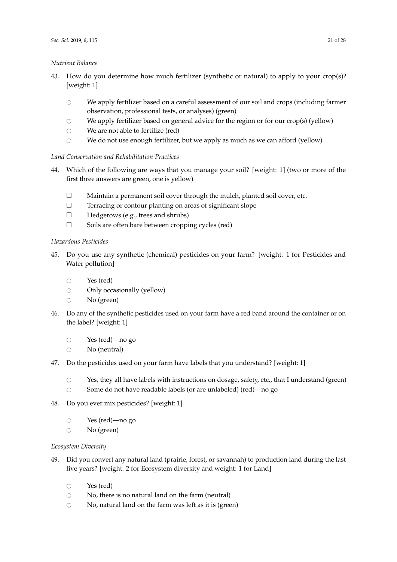### *Nutrient Balance*

- 43. How do you determine how much fertilizer (synthetic or natural) to apply to your crop(s)? [weight: 1]
	- $\circ$  We apply fertilizer based on a careful assessment of our soil and crops (including farmer observation, professional tests, or analyses) (green)
	- $\circ$  We apply fertilizer based on general advice for the region or for our crop(s) (yellow)<br> $\circ$  We are not able to fertilize (red)
	- We are not able to fertilize (red)
	- $\circ$  We do not use enough fertilizer, but we apply as much as we can afford (yellow)

# *Land Conservation and Rehabilitation Practices*

- 44. Which of the following are ways that you manage your soil? [weight: 1] (two or more of the first three answers are green, one is yellow)
	- $\Box$  Maintain a permanent soil cover through the mulch, planted soil cover, etc.
	- $\Box$  Terracing or contour planting on areas of significant slope
	- □ Hedgerows (e.g., trees and shrubs)
	- $\Box$  Soils are often bare between cropping cycles (red)

# *Hazardous Pesticides*

- 45. Do you use any synthetic (chemical) pesticides on your farm? [weight: 1 for Pesticides and Water pollution]
	- $\circ$  Yes (red)
	- Only occasionally (yellow)
	- $\circ$  No (green)
- 46. Do any of the synthetic pesticides used on your farm have a red band around the container or on the label? [weight: 1]
	- $\circ$  Yes (red)—no go<br> $\circ$  No (neutral)
	- No (neutral)
- 47. Do the pesticides used on your farm have labels that you understand? [weight: 1]
	- $\circ$  Yes, they all have labels with instructions on dosage, safety, etc., that I understand (green)<br> $\circ$  Some do not have readable labels (or are unlabeled) (red)—no go
	- Some do not have readable labels (or are unlabeled) (red)—no go
- 48. Do you ever mix pesticides? [weight: 1]
	- $\circ$  Yes (red)—no go
	- $\circ$  No (green)

# *Ecosystem Diversity*

- 49. Did you convert any natural land (prairie, forest, or savannah) to production land during the last five years? [weight: 2 for Ecosystem diversity and weight: 1 for Land]
	- $\circ$  Yes (red)
	- $\circ$  No, there is no natural land on the farm (neutral)<br> $\circ$  No natural land on the farm was left as it is (green
	- No, natural land on the farm was left as it is (green)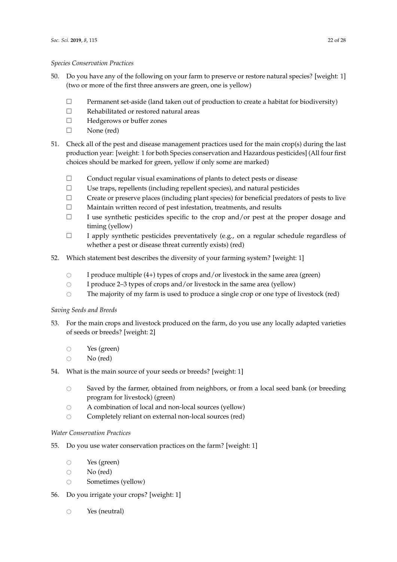### *Species Conservation Practices*

- 50. Do you have any of the following on your farm to preserve or restore natural species? [weight: 1] (two or more of the first three answers are green, one is yellow)
	- $\Box$  Permanent set-aside (land taken out of production to create a habitat for biodiversity)
	- □ Rehabilitated or restored natural areas
	- Hedgerows or buffer zones
	- □ None (red)
- 51. Check all of the pest and disease management practices used for the main crop(s) during the last production year: [weight: 1 for both Species conservation and Hazardous pesticides] (All four first choices should be marked for green, yellow if only some are marked)
	- Conduct regular visual examinations of plants to detect pests or disease
	- $\square$  Use traps, repellents (including repellent species), and natural pesticides
	- $\Box$  Create or preserve places (including plant species) for beneficial predators of pests to live
	- Maintain written record of pest infestation, treatments, and results
	- $\Box$  I use synthetic pesticides specific to the crop and/or pest at the proper dosage and timing (yellow)
	- $\Box$  I apply synthetic pesticides preventatively (e.g., on a regular schedule regardless of whether a pest or disease threat currently exists) (red)
- 52. Which statement best describes the diversity of your farming system? [weight: 1]
	- $\circ$  I produce multiple (4+) types of crops and/or livestock in the same area (green)
	- $\circ$  I produce 2–3 types of crops and/or livestock in the same area (yellow)
	- $\circ$  The majority of my farm is used to produce a single crop or one type of livestock (red)

# *Saving Seeds and Breeds*

- 53. For the main crops and livestock produced on the farm, do you use any locally adapted varieties of seeds or breeds? [weight: 2]
	- $\circ$  Yes (green)
	- $\circ$  No (red)
- 54. What is the main source of your seeds or breeds? [weight: 1]
	- $\circ$  Saved by the farmer, obtained from neighbors, or from a local seed bank (or breeding program for livestock) (green)
	- $\circ$  A combination of local and non-local sources (yellow)
	- $\circ$  Completely reliant on external non-local sources (red)

# *Water Conservation Practices*

- 55. Do you use water conservation practices on the farm? [weight: 1]
	- $\circ$  Yes (green)<br> $\circ$  No (red)
	- $\circ$  No (red)<br> $\circ$  Sometim
	- Sometimes (yellow)
- 56. Do you irrigate your crops? [weight: 1]
	- $\bigcirc$  Yes (neutral)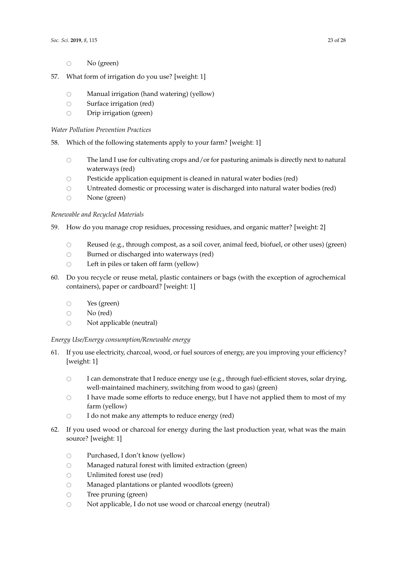- $\circ$  No (green)
- 57. What form of irrigation do you use? [weight: 1]
	- $\circ$  Manual irrigation (hand watering) (yellow)<br> $\circ$  Surface irrigation (red)
	- $\circ$  Surface irrigation (red)<br> $\circ$  Drip irrigation (green)
	- Drip irrigation (green)

### *Water Pollution Prevention Practices*

58. Which of the following statements apply to your farm? [weight: 1]

- $\circ$  The land I use for cultivating crops and/or for pasturing animals is directly next to natural waterways (red)
- $\circ$  Pesticide application equipment is cleaned in natural water bodies (red)<br> $\circ$  Untreated domestic or processing water is discharged into natural water
- Untreated domestic or processing water is discharged into natural water bodies (red)
- $\circ$  None (green)

### *Renewable and Recycled Materials*

- 59. How do you manage crop residues, processing residues, and organic matter? [weight: 2]
	- Reused (e.g., through compost, as a soil cover, animal feed, biofuel, or other uses) (green)<br>  $\bigcirc$  Burned or discharged into waterways (red)
	- Burned or discharged into waterways (red)
	- $\circ$  Left in piles or taken off farm (yellow)
- 60. Do you recycle or reuse metal, plastic containers or bags (with the exception of agrochemical containers), paper or cardboard? [weight: 1]
	- $\circ$  Yes (green)<br> $\circ$  No (red)
	- No (red)
	- $\circ$  Not applicable (neutral)

# *Energy Use/Energy consumption/Renewable energy*

- 61. If you use electricity, charcoal, wood, or fuel sources of energy, are you improving your efficiency? [weight: 1]
	- O I can demonstrate that I reduce energy use (e.g., through fuel-efficient stoves, solar drying, well-maintained machinery, switching from wood to gas) (green)
	- O I have made some efforts to reduce energy, but I have not applied them to most of my farm (yellow)
	- $\bigcirc$  I do not make any attempts to reduce energy (red)
- 62. If you used wood or charcoal for energy during the last production year, what was the main source? [weight: 1]
	- $\circ$  Purchased, I don't know (yellow)<br>  $\circ$  Managed natural forest with limit
	- Managed natural forest with limited extraction (green)
	-
	- $\circ$  Unlimited forest use (red)<br> $\circ$  Managed plantations or p  $\circ$  Managed plantations or planted woodlots (green)<br> $\circ$  Tree pruning (green)
	- $\circ$  Tree pruning (green)<br> $\circ$  Not applicable. I do r
	- Not applicable, I do not use wood or charcoal energy (neutral)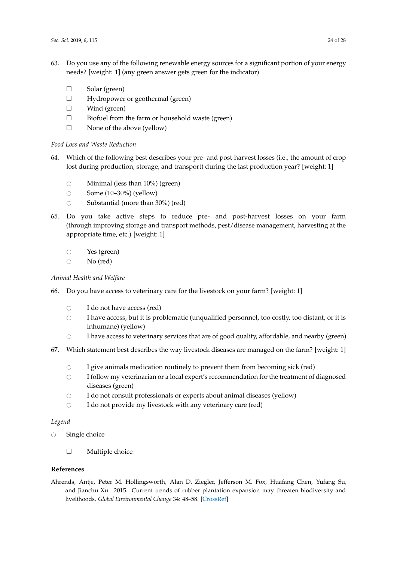- 63. Do you use any of the following renewable energy sources for a significant portion of your energy needs? [weight: 1] (any green answer gets green for the indicator)
	- $\Box$  Solar (green)
	- $\Box$  Hydropower or geothermal (green)
	- $\Box$  Wind (green)
	- $\Box$  Biofuel from the farm or household waste (green)
	- $\square$  None of the above (yellow)

### *Food Loss and Waste Reduction*

- 64. Which of the following best describes your pre- and post-harvest losses (i.e., the amount of crop lost during production, storage, and transport) during the last production year? [weight: 1]
	- $\circ$  Minimal (less than 10%) (green)<br> $\circ$  Some (10–30%) (vellow)
	- $\circ$  Some (10–30%) (yellow)<br> $\circ$  Substantial (more than 3
	- Substantial (more than 30%) (red)
- 65. Do you take active steps to reduce pre- and post-harvest losses on your farm (through improving storage and transport methods, pest/disease management, harvesting at the appropriate time, etc.) [weight: 1]
	- $\circ$  Yes (green)<br> $\circ$  No (red)
	- No (red)

### *Animal Health and Welfare*

- 66. Do you have access to veterinary care for the livestock on your farm? [weight: 1]
	- $\circ$  I do not have access (red)<br> $\circ$  I have access but it is pro
	- # I have access, but it is problematic (unqualified personnel, too costly, too distant, or it is inhumane) (yellow)
	- $\circ$  I have access to veterinary services that are of good quality, affordable, and nearby (green)
- 67. Which statement best describes the way livestock diseases are managed on the farm? [weight: 1]
	-
	- $\circ$  I give animals medication routinely to prevent them from becoming sick (red)<br> $\circ$  I follow my veterinarian or a local expert's recommendation for the treatment of I follow my veterinarian or a local expert's recommendation for the treatment of diagnosed diseases (green)
	- $\circ$  I do not consult professionals or experts about animal diseases (yellow)<br> $\circ$  I do not provide my livestock with any veterinary care (red)
	- I do not provide my livestock with any veterinary care (red)

### *Legend*

- $\circ$  Single choice
	- $\Box$  Multiple choice

### **References**

<span id="page-23-0"></span>Ahrends, Antje, Peter M. Hollingsworth, Alan D. Ziegler, Jefferson M. Fox, Huafang Chen, Yufang Su, and Jianchu Xu. 2015. Current trends of rubber plantation expansion may threaten biodiversity and livelihoods. *Global Environmental Change* 34: 48–58. [\[CrossRef\]](http://dx.doi.org/10.1016/j.gloenvcha.2015.06.002)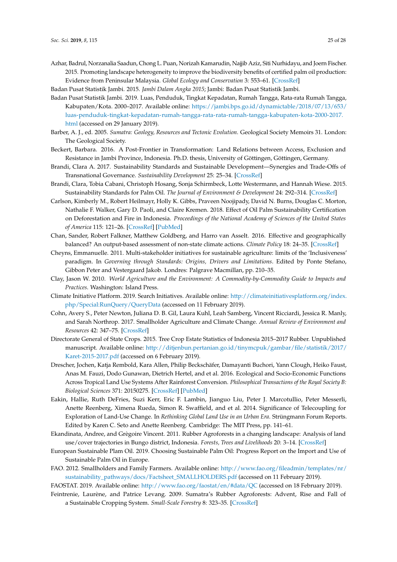<span id="page-24-3"></span>Azhar, Badrul, Norzanalia Saadun, Chong L. Puan, Norizah Kamarudin, Najjib Aziz, Siti Nurhidayu, and Joern Fischer. 2015. Promoting landscape heterogeneity to improve the biodiversity benefits of certified palm oil production: Evidence from Peninsular Malaysia. *Global Ecology and Conservation* 3: 553–61. [\[CrossRef\]](http://dx.doi.org/10.1016/j.gecco.2015.02.009)

<span id="page-24-13"></span>Badan Pusat Statistik Jambi. 2015. *Jambi Dalam Angka 2015*; Jambi: Badan Pusat Statistik Jambi.

- <span id="page-24-12"></span>Badan Pusat Statistik Jambi. 2019. Luas, Penduduk, Tingkat Kepadatan, Rumah Tangga, Rata-rata Rumah Tangga, Kabupaten/Kota. 2000–2017. Available online: [https://jambi.bps.go.id/dynamictable/2018/07/13/653/](https://jambi.bps.go.id/dynamictable/2018/07/13/653/luas-penduduk-tingkat-kepadatan-rumah-tangga-rata-rata-rumah-tangga-kabupaten-kota-2000-2017.html) [luas-penduduk-tingkat-kepadatan-rumah-tangga-rata-rata-rumah-tangga-kabupaten-kota-2000-2017.](https://jambi.bps.go.id/dynamictable/2018/07/13/653/luas-penduduk-tingkat-kepadatan-rumah-tangga-rata-rata-rumah-tangga-kabupaten-kota-2000-2017.html) [html](https://jambi.bps.go.id/dynamictable/2018/07/13/653/luas-penduduk-tingkat-kepadatan-rumah-tangga-rata-rata-rumah-tangga-kabupaten-kota-2000-2017.html) (accessed on 29 January 2019).
- <span id="page-24-10"></span>Barber, A. J., ed. 2005. *Sumatra: Geology, Resources and Tectonic Evolution*. Geological Society Memoirs 31. London: The Geological Society.
- <span id="page-24-7"></span>Beckert, Barbara. 2016. A Post-Frontier in Transformation: Land Relations between Access, Exclusion and Resistance in Jambi Province, Indonesia. Ph.D. thesis, University of Göttingen, Göttingen, Germany.
- <span id="page-24-15"></span>Brandi, Clara A. 2017. Sustainability Standards and Sustainable Development—Synergies and Trade-Offs of Transnational Governance. *Sustainability Development* 25: 25–34. [\[CrossRef\]](http://dx.doi.org/10.1002/sd.1639)
- <span id="page-24-2"></span>Brandi, Clara, Tobia Cabani, Christoph Hosang, Sonja Schirmbeck, Lotte Westermann, and Hannah Wiese. 2015. Sustainability Standards for Palm Oil. *The Journal of Environment & Development* 24: 292–314. [\[CrossRef\]](http://dx.doi.org/10.1177/1070496515593775)
- <span id="page-24-4"></span>Carlson, Kimberly M., Robert Heilmayr, Holly K. Gibbs, Praveen Noojipady, David N. Burns, Douglas C. Morton, Nathalie F. Walker, Gary D. Paoli, and Claire Kremen. 2018. Effect of Oil Palm Sustainability Certification on Deforestation and Fire in Indonesia. *Proceedings of the National Academy of Sciences of the United States of America* 115: 121–26. [\[CrossRef\]](http://dx.doi.org/10.1073/pnas.1704728114) [\[PubMed\]](http://www.ncbi.nlm.nih.gov/pubmed/29229857)
- <span id="page-24-1"></span>Chan, Sander, Robert Falkner, Matthew Goldberg, and Harro van Asselt. 2016. Effective and geographically balanced? An output-based assessment of non-state climate actions. *Climate Policy* 18: 24–35. [\[CrossRef\]](http://dx.doi.org/10.1080/14693062.2016.1248343)
- <span id="page-24-16"></span>Cheyns, Emmanuelle. 2011. Multi-stakeholder initiatives for sustainable agriculture: limits of the 'Inclusiveness' paradigm. In *Governing through Standards: Origins, Drivers and Limitations*. Edited by Ponte Stefano, Gibbon Peter and Vestergaard Jakob. Londres: Palgrave Macmillan, pp. 210–35.
- <span id="page-24-19"></span>Clay, Jason W. 2010. *World Agriculture and the Environment: A Commodity-by-Commodity Guide to Impacts and Practices*. Washington: Island Press.
- <span id="page-24-14"></span>Climate Initiative Platform. 2019. Search Initiatives. Available online: [http://climateinitiativesplatform.org/index.](http://climateinitiativesplatform.org/index.php/Special:RunQuery/QueryData) [php/Special:RunQuery/QueryData](http://climateinitiativesplatform.org/index.php/Special:RunQuery/QueryData) (accessed on 11 February 2019).
- <span id="page-24-8"></span>Cohn, Avery S., Peter Newton, Juliana D. B. Gil, Laura Kuhl, Leah Samberg, Vincent Ricciardi, Jessica R. Manly, and Sarah Northrop. 2017. Smallholder Agriculture and Climate Change. *Annual Review of Environment and Resources* 42: 347–75. [\[CrossRef\]](http://dx.doi.org/10.1146/annurev-environ-102016-060946)
- <span id="page-24-20"></span>Directorate General of State Crops. 2015. Tree Crop Estate Statistics of Indonesia 2015–2017 Rubber. Unpublished manuscript. Available online: [http://ditjenbun.pertanian.go.id/tinymcpuk/gambar/file/statistik/2017/](http://ditjenbun.pertanian.go.id/tinymcpuk/gambar/file/statistik/2017/Karet-2015-2017.pdf) [Karet-2015-2017.pdf](http://ditjenbun.pertanian.go.id/tinymcpuk/gambar/file/statistik/2017/Karet-2015-2017.pdf) (accessed on 6 February 2019).
- <span id="page-24-11"></span>Drescher, Jochen, Katja Rembold, Kara Allen, Philip Beckschäfer, Damayanti Buchori, Yann Clough, Heiko Faust, Anas M. Fauzi, Dodo Gunawan, Dietrich Hertel, and et al. 2016. Ecological and Socio-Economic Functions Across Tropical Land Use Systems After Rainforest Conversion. *Philosophical Transactions of the Royal Society B: Biological Sciences* 371: 20150275. [\[CrossRef\]](http://dx.doi.org/10.1098/rstb.2015.0275) [\[PubMed\]](http://www.ncbi.nlm.nih.gov/pubmed/27114577)
- <span id="page-24-0"></span>Eakin, Hallie, Ruth DeFries, Suzi Kerr, Eric F. Lambin, Jianguo Liu, Peter J. Marcotullio, Peter Messerli, Anette Reenberg, Ximena Rueda, Simon R. Swaffield, and et al. 2014. Significance of Telecoupling for Exploration of Land-Use Change. In *Rethinking Global Land Use in an Urban Era*. Strüngmann Forum Reports. Edited by Karen C. Seto and Anette Reenberg. Cambridge: The MIT Press, pp. 141–61.
- <span id="page-24-5"></span>Ekandinata, Andree, and Grègoire Vincent. 2011. Rubber Agroforests in a changing landscape: Analysis of land use/cover trajectories in Bungo district, Indonesia. *Forests, Trees and Livelihoods* 20: 3–14. [\[CrossRef\]](http://dx.doi.org/10.1080/14728028.2011.9756694)
- <span id="page-24-17"></span>European Sustainable Plam Oil. 2019. Choosing Sustainable Palm Oil: Progress Report on the Import and Use of Sustainable Palm Oil in Europe.
- <span id="page-24-9"></span>FAO. 2012. Smallholders and Family Farmers. Available online: [http://www.fao.org/fileadmin/templates/nr/](http://www.fao.org/fileadmin/templates/nr/sustainability_pathways/docs/Factsheet_SMALLHOLDERS.pdf) [sustainability\\_pathways/docs/Factsheet\\_SMALLHOLDERS.pdf](http://www.fao.org/fileadmin/templates/nr/sustainability_pathways/docs/Factsheet_SMALLHOLDERS.pdf) (accessed on 11 February 2019).

<span id="page-24-6"></span>FAOSTAT. 2019. Available online: <http://www.fao.org/faostat/en/#data/QC> (accessed on 18 February 2019).

<span id="page-24-18"></span>Feintrenie, Laurène, and Patrice Levang. 2009. Sumatra's Rubber Agroforests: Advent, Rise and Fall of a Sustainable Cropping System. *Small-Scale Forestry* 8: 323–35. [\[CrossRef\]](http://dx.doi.org/10.1007/s11842-009-9086-2)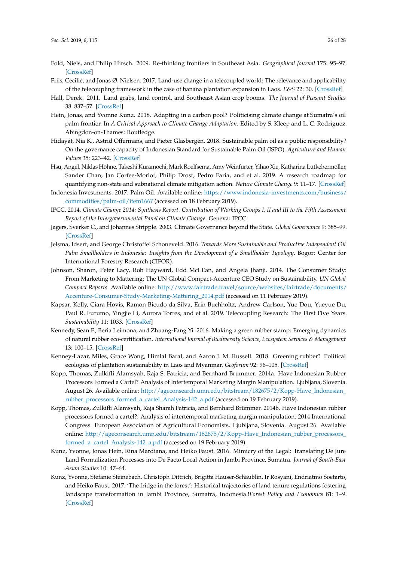- <span id="page-25-9"></span>Fold, Niels, and Philip Hirsch. 2009. Re-thinking frontiers in Southeast Asia. *Geographical Journal* 175: 95–97. [\[CrossRef\]](http://dx.doi.org/10.1111/j.1475-4959.2009.00324.x)
- <span id="page-25-11"></span>Friis, Cecilie, and Jonas Ø. Nielsen. 2017. Land-use change in a telecoupled world: The relevance and applicability of the telecoupling framework in the case of banana plantation expansion in Laos. *E&S* 22: 30. [\[CrossRef\]](http://dx.doi.org/10.5751/ES-09480-220430)
- <span id="page-25-1"></span>Hall, Derek. 2011. Land grabs, land control, and Southeast Asian crop booms. *The Journal of Peasant Studies* 38: 837–57. [\[CrossRef\]](http://dx.doi.org/10.1080/03066150.2011.607706)
- <span id="page-25-17"></span>Hein, Jonas, and Yvonne Kunz. 2018. Adapting in a carbon pool? Politicising climate change at Sumatra's oil palm frontier. In *A Critical Approach to Climate Change Adaptation*. Edited by S. Kleep and L. C. Rodríguez. Abingdon-on-Thames: Routledge.
- <span id="page-25-5"></span>Hidayat, Nia K., Astrid Offermans, and Pieter Glasbergen. 2018. Sustainable palm oil as a public responsibility? On the governance capacity of Indonesian Standard for Sustainable Palm Oil (ISPO). *Agriculture and Human Values* 35: 223–42. [\[CrossRef\]](http://dx.doi.org/10.1007/s10460-017-9816-6)
- <span id="page-25-3"></span>Hsu, Angel, Niklas Höhne, Takeshi Kuramochi, Mark Roelfsema, Amy Weinfurter, Yihao Xie, Katharina Lütkehermöller, Sander Chan, Jan Corfee-Morlot, Philip Drost, Pedro Faria, and et al. 2019. A research roadmap for quantifying non-state and subnational climate mitigation action. *Nature Climate Change* 9: 11–17. [\[CrossRef\]](http://dx.doi.org/10.1038/s41558-018-0338-z)
- <span id="page-25-8"></span>Indonesia Investments. 2017. Palm Oil. Available online: [https://www.indonesia-investments.com/business/](https://www.indonesia-investments.com/business/commodities/palm-oil/item166?) [commodities/palm-oil/item166?](https://www.indonesia-investments.com/business/commodities/palm-oil/item166?) (accessed on 18 February 2019).
- <span id="page-25-0"></span>IPCC. 2014. *Climate Change 2014: Synthesis Report. Contribution of Working Groups I, II and III to the Fifth Assessment Report of the Intergovernmental Panel on Climate Change*. Geneva: IPCC.
- <span id="page-25-4"></span>Jagers, Sverker C., and Johannes Stripple. 2003. Climate Governance beyond the State. *Global Governance* 9: 385–99. [\[CrossRef\]](http://dx.doi.org/10.1163/19426720-00903009)
- <span id="page-25-12"></span>Jelsma, Idsert, and George Christoffel Schoneveld. 2016. *Towards More Sustainable and Productive Independent Oil Palm Smallholders in Indonesia: Insights from the Development of a Smallholder Typology*. Bogor: Center for International Forestry Research (CIFOR).
- <span id="page-25-2"></span>Johnson, Sharon, Peter Lacy, Rob Hayward, Edd McLEan, and Angela Jhanji. 2014. The Consumer Study: From Marketing to Mattering: The UN Global Compact-Accenture CEO Study on Sustainability. *UN Global Compact Reports.* Available online: [http://www.fairtrade.travel/source/websites/fairtrade/documents/](http://www.fairtrade.travel/source/websites/fairtrade/documents/Accenture-Consumer-Study-Marketing-Mattering_2014.pdf) [Accenture-Consumer-Study-Marketing-Mattering\\_2014.pdf](http://www.fairtrade.travel/source/websites/fairtrade/documents/Accenture-Consumer-Study-Marketing-Mattering_2014.pdf) (accessed on 11 February 2019).
- <span id="page-25-10"></span>Kapsar, Kelly, Ciara Hovis, Ramon Bicudo da Silva, Erin Buchholtz, Andrew Carlson, Yue Dou, Yueyue Du, Paul R. Furumo, Yingjie Li, Aurora Torres, and et al. 2019. Telecoupling Research: The First Five Years. *Sustainability* 11: 1033. [\[CrossRef\]](http://dx.doi.org/10.3390/su11041033)
- <span id="page-25-6"></span>Kennedy, Sean F., Beria Leimona, and Zhuang-Fang Yi. 2016. Making a green rubber stamp: Emerging dynamics of natural rubber eco-certification. *International Journal of Biodiversity Science, Ecosystem Services & Management* 13: 100–15. [\[CrossRef\]](http://dx.doi.org/10.1080/21513732.2016.1267664)
- <span id="page-25-7"></span>Kenney-Lazar, Miles, Grace Wong, Himlal Baral, and Aaron J. M. Russell. 2018. Greening rubber? Political ecologies of plantation sustainability in Laos and Myanmar. *Geoforum* 92: 96–105. [\[CrossRef\]](http://dx.doi.org/10.1016/j.geoforum.2018.03.008)
- <span id="page-25-15"></span>Kopp, Thomas, Zulkifli Alamsyah, Raja S. Fatricia, and Bernhard Brümmer. 2014a. Have Indonesian Rubber Processors Formed a Cartel? Analysis of Intertemporal Marketing Margin Manipulation. Ljubljana, Slovenia. August 26. Available online: [http://ageconsearch.umn.edu/bitstream/182675/2/Kopp-Have\\_Indonesian\\_](http://ageconsearch.umn.edu/bitstream/182675/2/Kopp-Have_Indonesian_rubber_processors_formed_a_cartel_Analysis-142_a.pdf) [rubber\\_processors\\_formed\\_a\\_cartel\\_Analysis-142\\_a.pdf](http://ageconsearch.umn.edu/bitstream/182675/2/Kopp-Have_Indonesian_rubber_processors_formed_a_cartel_Analysis-142_a.pdf) (accessed on 19 February 2019).
- <span id="page-25-16"></span>Kopp, Thomas, Zulkifli Alamsyah, Raja Sharah Fatricia, and Bernhard Brümmer. 2014b. Have Indonesian rubber processors formed a cartel?: Analysis of intertemporal marketing margin manipulation. 2014 International Congress. European Association of Agricultural Economists. Ljubljana, Slovenia. August 26. Available online: [http://ageconsearch.umn.edu/bitstream/182675/2/Kopp-Have\\_Indonesian\\_rubber\\_processors\\_](http://ageconsearch.umn.edu/bitstream/182675/2/Kopp-Have_Indonesian_rubber_processors_formed_a_cartel_Analysis-142_a.pdf) [formed\\_a\\_cartel\\_Analysis-142\\_a.pdf](http://ageconsearch.umn.edu/bitstream/182675/2/Kopp-Have_Indonesian_rubber_processors_formed_a_cartel_Analysis-142_a.pdf) (accessed on 19 February 2019).
- <span id="page-25-13"></span>Kunz, Yvonne, Jonas Hein, Rina Mardiana, and Heiko Faust. 2016. Mimicry of the Legal: Translating De Jure Land Formalization Processes into De Facto Local Action in Jambi Province, Sumatra. *Journal of South-East Asian Studies* 10: 47–64.
- <span id="page-25-14"></span>Kunz, Yvonne, Stefanie Steinebach, Christoph Dittrich, Brigitta Hauser-Schäublin, Ir Rosyani, Endriatmo Soetarto, and Heiko Faust. 2017. 'The fridge in the forest': Historical trajectories of land tenure regulations fostering landscape transformation in Jambi Province, Sumatra, Indonesia.!*Forest Policy and Economics* 81: 1–9. [\[CrossRef\]](http://dx.doi.org/10.1016/j.forpol.2017.04.005)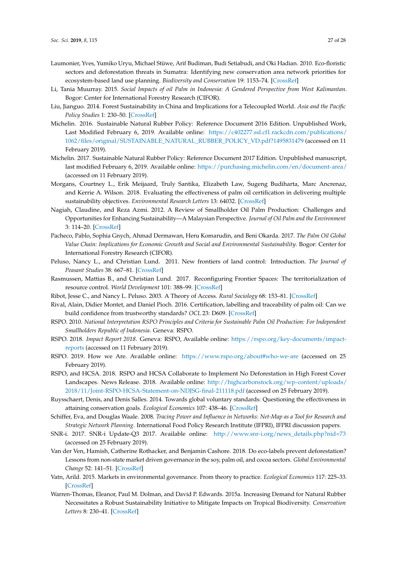- <span id="page-26-8"></span>Laumonier, Yves, Yumiko Uryu, Michael Stüwe, Arif Budiman, Budi Setiabudi, and Oki Hadian. 2010. Eco-floristic sectors and deforestation threats in Sumatra: Identifying new conservation area network priorities for ecosystem-based land use planning. *Biodiversity and Conservation* 19: 1153–74. [\[CrossRef\]](http://dx.doi.org/10.1007/s10531-010-9784-2)
- <span id="page-26-21"></span>Li, Tania Muurray. 2015. *Social Impacts of oil Palm in Indonesia: A Gendered Perspective from West Kalimantan*. Bogor: Center for International Forestry Research (CIFOR).
- <span id="page-26-7"></span>Liu, Jianguo. 2014. Forest Sustainability in China and Implications for a Telecoupled World. *Asia and the Pacific Policy Studies* 1: 230–50. [\[CrossRef\]](http://dx.doi.org/10.1002/app5.17)
- <span id="page-26-20"></span>Michelin. 2016. Sustainable Natural Rubber Policy: Reference Document 2016 Edition. Unpublished Work, Last Modified February 6, 2019. Available online: [https://c402277.ssl.cf1.rackcdn.com/publications/](https://c402277.ssl.cf1.rackcdn.com/publications/1062/files/original/SUSTAINABLE_NATURAL_RUBBER_POLICY_VD.pdf?1495831479) [1062/files/original/SUSTAINABLE\\_NATURAL\\_RUBBER\\_POLICY\\_VD.pdf?1495831479](https://c402277.ssl.cf1.rackcdn.com/publications/1062/files/original/SUSTAINABLE_NATURAL_RUBBER_POLICY_VD.pdf?1495831479) (accessed on 11 February 2019).
- <span id="page-26-19"></span>Michelin. 2017. Sustainable Natural Rubber Policy: Reference Document 2017 Edition. Unpublished manuscript, last modified February 6, 2019. Available online: <https://purchasing.michelin.com/en/document-area/> (accessed on 11 February 2019).
- <span id="page-26-2"></span>Morgans, Courtney L., Erik Meijaard, Truly Santika, Elizabeth Law, Sugeng Budiharta, Marc Ancrenaz, and Kerrie A. Wilson. 2018. Evaluating the effectiveness of palm oil certification in delivering multiple sustainability objectives. *Environmental Research Letters* 13: 64032. [\[CrossRef\]](http://dx.doi.org/10.1088/1748-9326/aac6f4)
- <span id="page-26-13"></span>Nagiah, Claudine, and Reza Azmi. 2012. A Review of Smallholder Oil Palm Production: Challenges and Opportunities for Enhancing Sustainability—A Malaysian Perspective. *Journal of Oil Palm and the Environment* 3: 114–20. [\[CrossRef\]](http://dx.doi.org/10.5366/jope.2012.12)
- <span id="page-26-16"></span>Pacheco, Pablo, Sophia Gnych, Ahmad Dermawan, Heru Komarudin, and Beni Okarda. 2017. *The Palm Oil Global Value Chain: Implications for Economic Growth and Social and Environmental Sustainability*. Bogor: Center for International Forestry Research (CIFOR).
- <span id="page-26-4"></span>Peluso, Nancy L., and Christian Lund. 2011. New frontiers of land control: Introduction. *The Journal of Peasant Studies* 38: 667–81. [\[CrossRef\]](http://dx.doi.org/10.1080/03066150.2011.607692)
- <span id="page-26-5"></span>Rasmussen, Mattias B., and Christian Lund. 2017. Reconfiguring Frontier Spaces: The territorialization of resource control. *World Development* 101: 388–99. [\[CrossRef\]](http://dx.doi.org/10.1016/j.worlddev.2017.01.018)
- <span id="page-26-6"></span>Ribot, Jesse C., and Nancy L. Peluso. 2003. A Theory of Access. *Rural Sociology* 68: 153–81. [\[CrossRef\]](http://dx.doi.org/10.1111/j.1549-0831.2003.tb00133.x)
- <span id="page-26-10"></span>Rival, Alain, Didier Montet, and Daniel Pioch. 2016. Certification, labelling and traceability of palm oil: Can we build confidence from trustworthy standards? *OCL* 23: D609. [\[CrossRef\]](http://dx.doi.org/10.1051/ocl/2016042)
- <span id="page-26-11"></span>RSPO. 2010. *National Interpretation RSPO Principles and Criteria for Sustainable Palm Oil Production: For Independent Smallholders Republic of Indonesia*. Geneva: RSPO.
- <span id="page-26-9"></span>RSPO. 2018. *Impact Report 2018*. Geneva: RSPO, Available online: [https://rspo.org/key-documents/impact](https://rspo.org/key-documents/impact-reports)[reports](https://rspo.org/key-documents/impact-reports) (accessed on 11 February 2019).
- <span id="page-26-17"></span>RSPO. 2019. How we Are. Available online: <https://www.rspo.org/about#who-we-are> (accessed on 25 February 2019).
- <span id="page-26-12"></span>RSPO, and HCSA. 2018. RSPO and HCSA Collaborate to Implement No Deforestation in High Forest Cover Landscapes. News Release. 2018. Available online: [http://highcarbonstock.org/wp-content/uploads/](http://highcarbonstock.org/wp-content/uploads/2018/11/Joint-RSPO-HCSA-Statement-on-NDJSG-final-211118.pdf) [2018/11/Joint-RSPO-HCSA-Statement-on-NDJSG-final-211118.pdf](http://highcarbonstock.org/wp-content/uploads/2018/11/Joint-RSPO-HCSA-Statement-on-NDJSG-final-211118.pdf) (accessed on 25 February 2019).
- <span id="page-26-18"></span>Ruysschaert, Denis, and Denis Salles. 2014. Towards global voluntary standards: Questioning the effectiveness in attaining conservation goals. *Ecological Economics* 107: 438–46. [\[CrossRef\]](http://dx.doi.org/10.1016/j.ecolecon.2014.09.016)
- <span id="page-26-15"></span>Schiffer, Eva, and Douglas Waale. 2008. *Tracing Power and Influence in Networks: Net-Map as a Tool for Research and Strategic Network Planning*. International Food Policy Research Institute (IFPRI), IFPRI discussion papers.
- <span id="page-26-14"></span>SNR-i. 2017. SNR-i Update-Q3 2017. Available online: [http://www.snr-i.org/news\\_details.php?nid=73](http://www.snr-i.org/news_details.php?nid=73) (accessed on 25 February 2019).
- <span id="page-26-1"></span>Van der Ven, Hamish, Catherine Rothacker, and Benjamin Cashore. 2018. Do eco-labels prevent deforestation? Lessons from non-state market driven governance in the soy, palm oil, and cocoa sectors. *Global Environmental Change* 52: 141–51. [\[CrossRef\]](http://dx.doi.org/10.1016/j.gloenvcha.2018.07.002)
- <span id="page-26-0"></span>Vatn, Arild. 2015. Markets in environmental governance. From theory to practice. *Ecological Economics* 117: 225–33. [\[CrossRef\]](http://dx.doi.org/10.1016/j.ecolecon.2014.07.017)
- <span id="page-26-3"></span>Warren-Thomas, Eleanor, Paul M. Dolman, and David P. Edwards. 2015a. Increasing Demand for Natural Rubber Necessitates a Robust Sustainability Initiative to Mitigate Impacts on Tropical Biodiversity. *Conservation Letters* 8: 230–41. [\[CrossRef\]](http://dx.doi.org/10.1111/conl.12170)